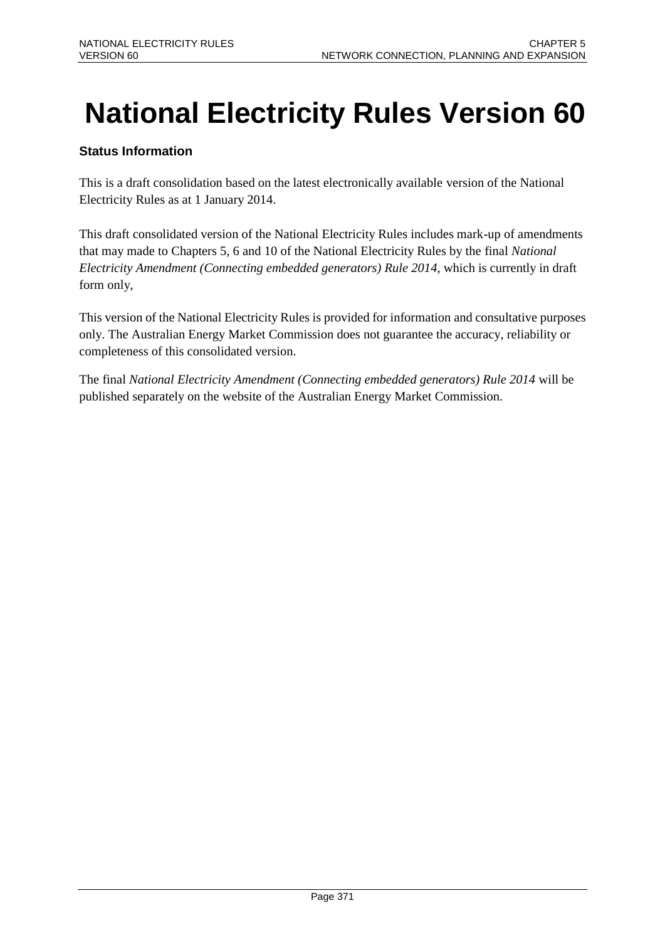# **National Electricity Rules Version 60**

### **Status Information**

This is a draft consolidation based on the latest electronically available version of the National Electricity Rules as at 1 January 2014.

This draft consolidated version of the National Electricity Rules includes mark-up of amendments that may made to Chapters 5, 6 and 10 of the National Electricity Rules by the final *National Electricity Amendment (Connecting embedded generators) Rule 2014*, which is currently in draft form only,

This version of the National Electricity Rules is provided for information and consultative purposes only. The Australian Energy Market Commission does not guarantee the accuracy, reliability or completeness of this consolidated version.

The final *National Electricity Amendment (Connecting embedded generators) Rule 2014* will be published separately on the website of the Australian Energy Market Commission.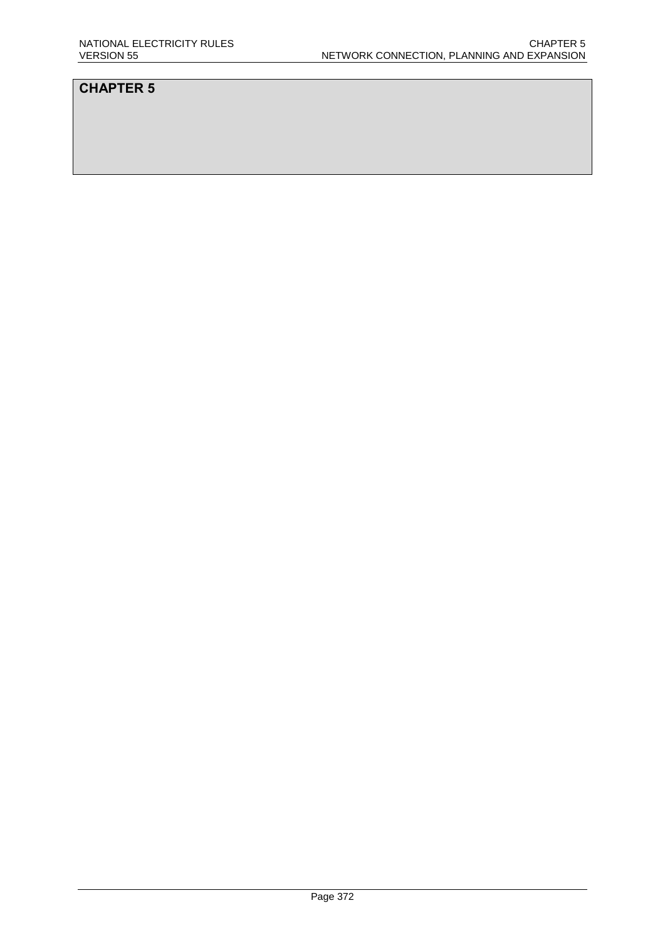### **CHAPTER 5**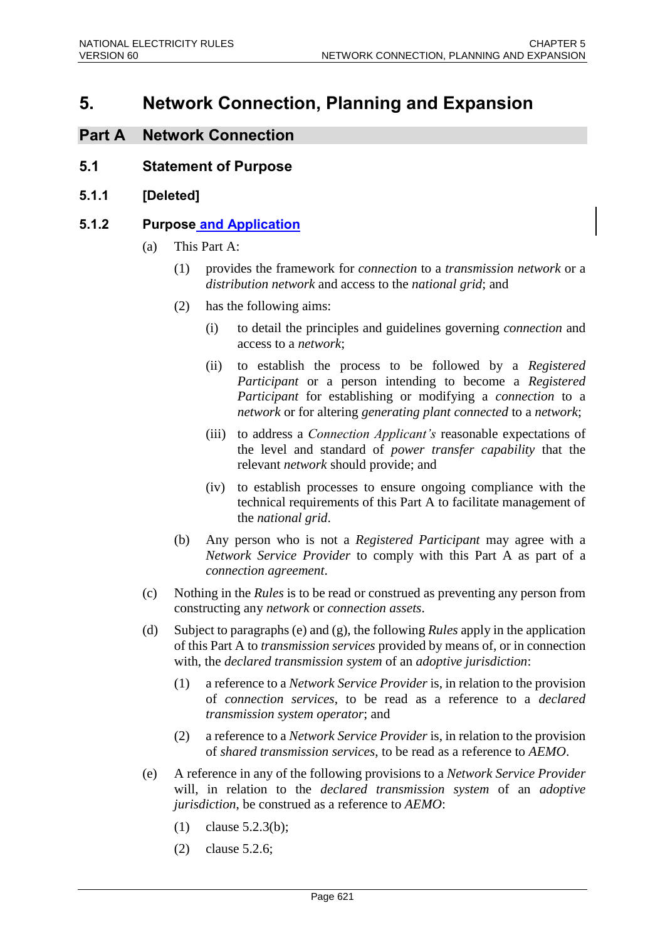# **5. Network Connection, Planning and Expansion**

### **Part A Network Connection**

### **5.1 Statement of Purpose**

**5.1.1 [Deleted]**

### **5.1.2 Purpose and Application**

- (a) This Part A:
	- (1) provides the framework for *connection* to a *transmission network* or a *distribution network* and access to the *national grid*; and
	- (2) has the following aims:
		- (i) to detail the principles and guidelines governing *connection* and access to a *network*;
		- (ii) to establish the process to be followed by a *Registered Participant* or a person intending to become a *Registered Participant* for establishing or modifying a *connection* to a *network* or for altering *generating plant connected* to a *network*;
		- (iii) to address a *Connection Applicant's* reasonable expectations of the level and standard of *power transfer capability* that the relevant *network* should provide; and
		- (iv) to establish processes to ensure ongoing compliance with the technical requirements of this Part A to facilitate management of the *national grid*.
	- (b) Any person who is not a *Registered Participant* may agree with a *Network Service Provider* to comply with this Part A as part of a *connection agreement*.
- (c) Nothing in the *Rules* is to be read or construed as preventing any person from constructing any *network* or *connection assets*.
- (d) Subject to paragraphs (e) and (g), the following *Rules* apply in the application of this Part A to *transmission services* provided by means of, or in connection with, the *declared transmission system* of an *adoptive jurisdiction*:
	- (1) a reference to a *Network Service Provider* is, in relation to the provision of *connection services*, to be read as a reference to a *declared transmission system operator*; and
	- (2) a reference to a *Network Service Provider* is, in relation to the provision of *shared transmission services*, to be read as a reference to *AEMO*.
- (e) A reference in any of the following provisions to a *Network Service Provider* will, in relation to the *declared transmission system* of an *adoptive jurisdiction*, be construed as a reference to *AEMO*:
	- (1) clause 5.2.3(b);
	- (2) clause 5.2.6;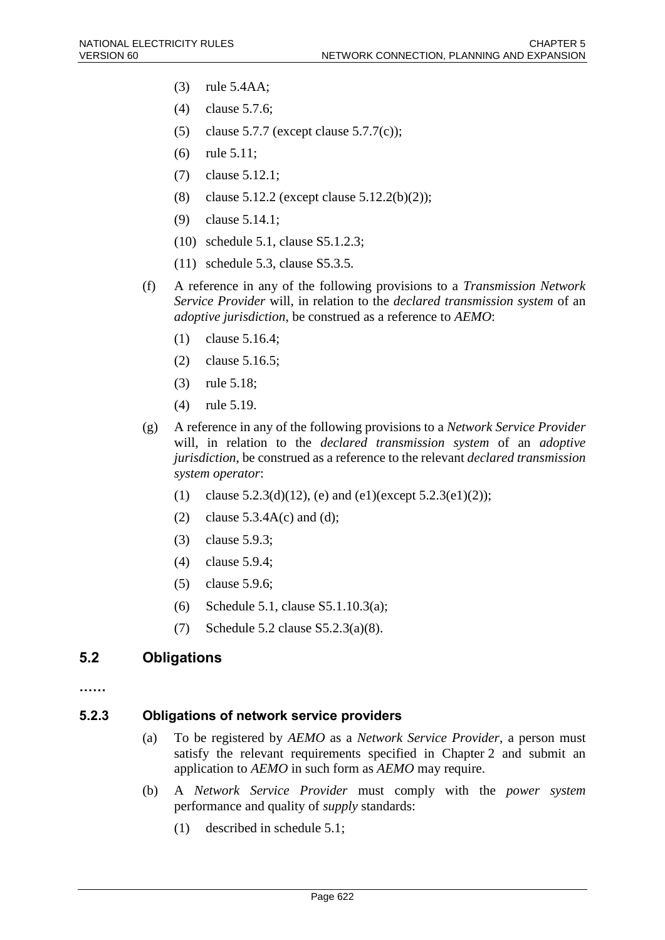- (3) rule 5.4AA;
- (4) clause 5.7.6;
- (5) clause 5.7.7 (except clause 5.7.7(c));
- (6) rule 5.11;
- (7) clause 5.12.1;
- (8) clause 5.12.2 (except clause 5.12.2(b)(2));
- (9) clause 5.14.1;
- (10) schedule 5.1, clause S5.1.2.3;
- (11) schedule 5.3, clause S5.3.5.
- (f) A reference in any of the following provisions to a *Transmission Network Service Provider* will, in relation to the *declared transmission system* of an *adoptive jurisdiction*, be construed as a reference to *AEMO*:
	- (1) clause 5.16.4;
	- (2) clause 5.16.5;
	- (3) rule 5.18;
	- (4) rule 5.19.
- (g) A reference in any of the following provisions to a *Network Service Provider* will, in relation to the *declared transmission system* of an *adoptive jurisdiction*, be construed as a reference to the relevant *declared transmission system operator*:
	- (1) clause  $5.2.3(d)(12)$ , (e) and (e1)(except  $5.2.3(e1)(2)$ );
	- (2) clause  $5.3.4A(c)$  and (d);
	- (3) clause 5.9.3;
	- (4) clause 5.9.4;
	- (5) clause 5.9.6;
	- (6) Schedule 5.1, clause S5.1.10.3(a);
	- (7) Schedule 5.2 clause S5.2.3(a)(8).

### **5.2 Obligations**

**……**

### **5.2.3 Obligations of network service providers**

- (a) To be registered by *AEMO* as a *Network Service Provider*, a person must satisfy the relevant requirements specified in Chapter 2 and submit an application to *AEMO* in such form as *AEMO* may require.
- (b) A *Network Service Provider* must comply with the *power system* performance and quality of *supply* standards:
	- (1) described in schedule 5.1;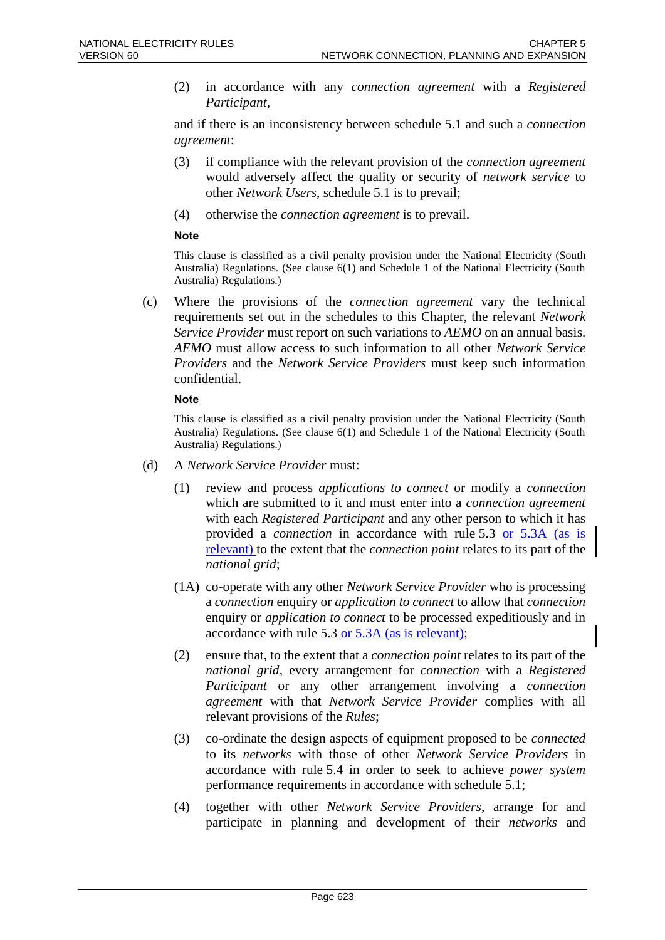(2) in accordance with any *connection agreement* with a *Registered Participant*,

and if there is an inconsistency between schedule 5.1 and such a *connection agreement*:

- (3) if compliance with the relevant provision of the *connection agreement* would adversely affect the quality or security of *network service* to other *Network Users*, schedule 5.1 is to prevail;
- (4) otherwise the *connection agreement* is to prevail.

#### **Note**

This clause is classified as a civil penalty provision under the National Electricity (South Australia) Regulations. (See clause 6(1) and Schedule 1 of the National Electricity (South Australia) Regulations.)

(c) Where the provisions of the *connection agreement* vary the technical requirements set out in the schedules to this Chapter, the relevant *Network Service Provider* must report on such variations to *AEMO* on an annual basis. *AEMO* must allow access to such information to all other *Network Service Providers* and the *Network Service Providers* must keep such information confidential.

#### **Note**

- (d) A *Network Service Provider* must:
	- (1) review and process *applications to connect* or modify a *connection* which are submitted to it and must enter into a *connection agreement* with each *Registered Participant* and any other person to which it has provided a *connection* in accordance with rule 5.3 or 5.3A (as is relevant) to the extent that the *connection point* relates to its part of the *national grid*;
	- (1A) co-operate with any other *Network Service Provider* who is processing a *connection* enquiry or *application to connect* to allow that *connection* enquiry or *application to connect* to be processed expeditiously and in accordance with rule 5.3 or 5.3A (as is relevant);
	- (2) ensure that, to the extent that a *connection point* relates to its part of the *national grid*, every arrangement for *connection* with a *Registered Participant* or any other arrangement involving a *connection agreement* with that *Network Service Provider* complies with all relevant provisions of the *Rules*;
	- (3) co-ordinate the design aspects of equipment proposed to be *connected* to its *networks* with those of other *Network Service Providers* in accordance with rule 5.4 in order to seek to achieve *power system* performance requirements in accordance with schedule 5.1;
	- (4) together with other *Network Service Providers*, arrange for and participate in planning and development of their *networks* and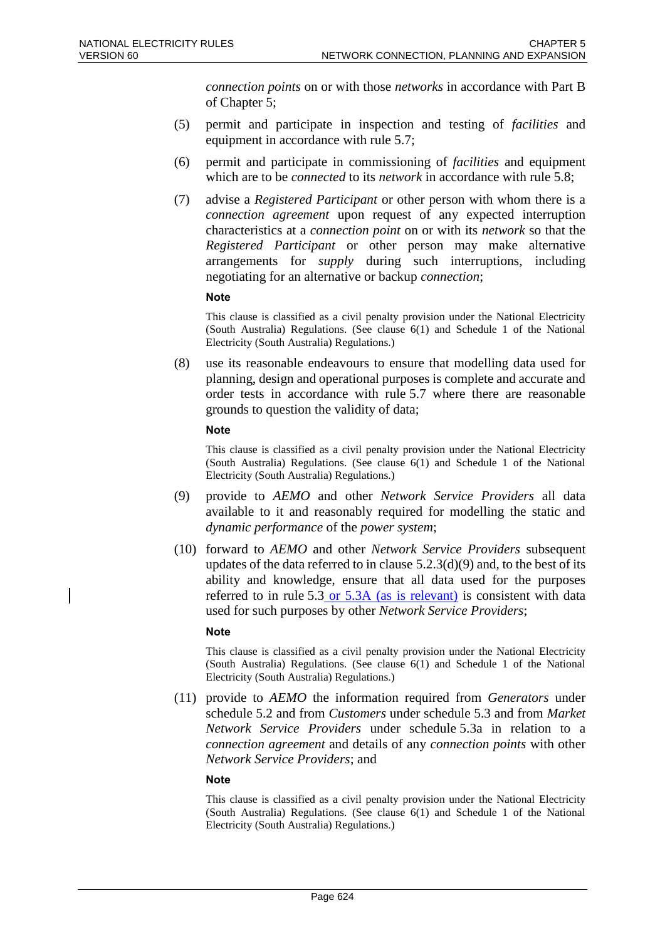*connection points* on or with those *networks* in accordance with Part B of Chapter 5;

- (5) permit and participate in inspection and testing of *facilities* and equipment in accordance with rule 5.7;
- (6) permit and participate in commissioning of *facilities* and equipment which are to be *connected* to its *network* in accordance with rule 5.8;
- (7) advise a *Registered Participant* or other person with whom there is a *connection agreement* upon request of any expected interruption characteristics at a *connection point* on or with its *network* so that the *Registered Participant* or other person may make alternative arrangements for *supply* during such interruptions, including negotiating for an alternative or backup *connection*;

#### **Note**

This clause is classified as a civil penalty provision under the National Electricity (South Australia) Regulations. (See clause 6(1) and Schedule 1 of the National Electricity (South Australia) Regulations.)

(8) use its reasonable endeavours to ensure that modelling data used for planning, design and operational purposes is complete and accurate and order tests in accordance with rule 5.7 where there are reasonable grounds to question the validity of data;

#### **Note**

This clause is classified as a civil penalty provision under the National Electricity (South Australia) Regulations. (See clause 6(1) and Schedule 1 of the National Electricity (South Australia) Regulations.)

- (9) provide to *AEMO* and other *Network Service Providers* all data available to it and reasonably required for modelling the static and *dynamic performance* of the *power system*;
- (10) forward to *AEMO* and other *Network Service Providers* subsequent updates of the data referred to in clause  $5.2.3(d)(9)$  and, to the best of its ability and knowledge, ensure that all data used for the purposes referred to in rule 5.3 or 5.3A (as is relevant) is consistent with data used for such purposes by other *Network Service Providers*;

#### **Note**

This clause is classified as a civil penalty provision under the National Electricity (South Australia) Regulations. (See clause 6(1) and Schedule 1 of the National Electricity (South Australia) Regulations.)

(11) provide to *AEMO* the information required from *Generators* under schedule 5.2 and from *Customers* under schedule 5.3 and from *Market Network Service Providers* under schedule 5.3a in relation to a *connection agreement* and details of any *connection points* with other *Network Service Providers*; and

#### **Note**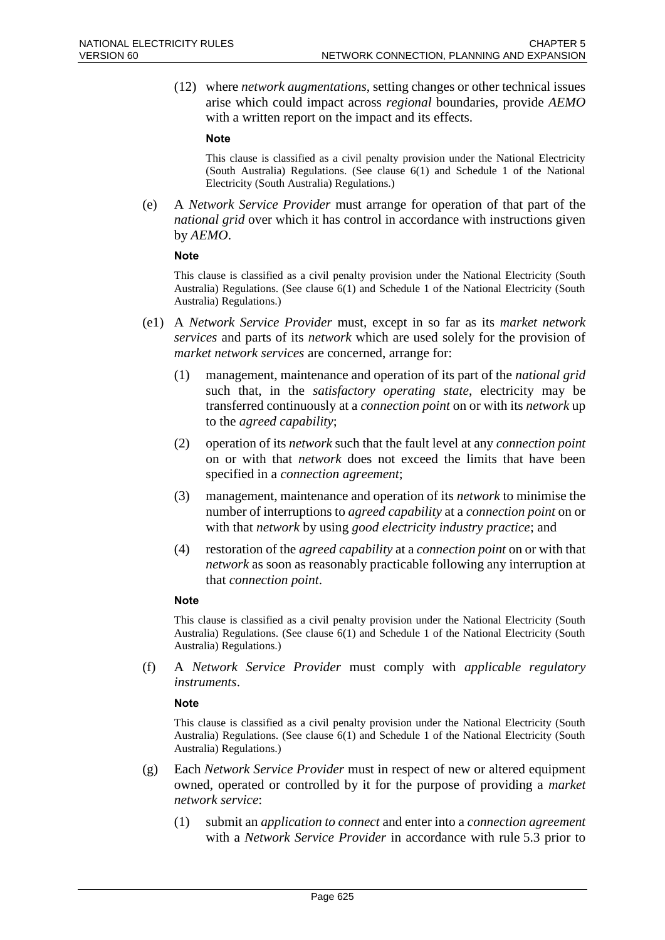(12) where *network augmentations*, setting changes or other technical issues arise which could impact across *regional* boundaries, provide *AEMO* with a written report on the impact and its effects.

#### **Note**

This clause is classified as a civil penalty provision under the National Electricity (South Australia) Regulations. (See clause 6(1) and Schedule 1 of the National Electricity (South Australia) Regulations.)

(e) A *Network Service Provider* must arrange for operation of that part of the *national grid* over which it has control in accordance with instructions given by *AEMO*.

#### **Note**

This clause is classified as a civil penalty provision under the National Electricity (South Australia) Regulations. (See clause 6(1) and Schedule 1 of the National Electricity (South Australia) Regulations.)

- (e1) A *Network Service Provider* must, except in so far as its *market network services* and parts of its *network* which are used solely for the provision of *market network services* are concerned, arrange for:
	- (1) management, maintenance and operation of its part of the *national grid* such that, in the *satisfactory operating state*, electricity may be transferred continuously at a *connection point* on or with its *network* up to the *agreed capability*;
	- (2) operation of its *network* such that the fault level at any *connection point* on or with that *network* does not exceed the limits that have been specified in a *connection agreement*;
	- (3) management, maintenance and operation of its *network* to minimise the number of interruptions to *agreed capability* at a *connection point* on or with that *network* by using *good electricity industry practice*; and
	- (4) restoration of the *agreed capability* at a *connection point* on or with that *network* as soon as reasonably practicable following any interruption at that *connection point*.

#### **Note**

This clause is classified as a civil penalty provision under the National Electricity (South Australia) Regulations. (See clause 6(1) and Schedule 1 of the National Electricity (South Australia) Regulations.)

(f) A *Network Service Provider* must comply with *applicable regulatory instruments*.

#### **Note**

- (g) Each *Network Service Provider* must in respect of new or altered equipment owned, operated or controlled by it for the purpose of providing a *market network service*:
	- (1) submit an *application to connect* and enter into a *connection agreement* with a *Network Service Provider* in accordance with rule 5.3 prior to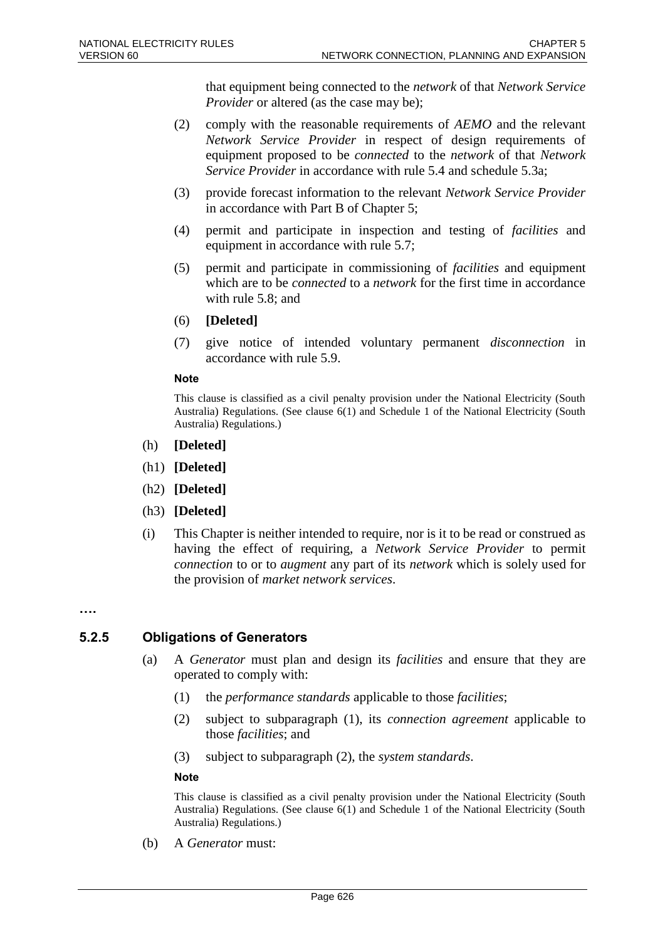that equipment being connected to the *network* of that *Network Service Provider* or altered (as the case may be);

- (2) comply with the reasonable requirements of *AEMO* and the relevant *Network Service Provider* in respect of design requirements of equipment proposed to be *connected* to the *network* of that *Network Service Provider* in accordance with rule 5.4 and schedule 5.3a;
- (3) provide forecast information to the relevant *Network Service Provider* in accordance with Part B of Chapter 5;
- (4) permit and participate in inspection and testing of *facilities* and equipment in accordance with rule 5.7;
- (5) permit and participate in commissioning of *facilities* and equipment which are to be *connected* to a *network* for the first time in accordance with rule 5.8; and
- (6) **[Deleted]**
- (7) give notice of intended voluntary permanent *disconnection* in accordance with rule 5.9.

#### **Note**

This clause is classified as a civil penalty provision under the National Electricity (South Australia) Regulations. (See clause 6(1) and Schedule 1 of the National Electricity (South Australia) Regulations.)

- (h) **[Deleted]**
- (h1) **[Deleted]**
- (h2) **[Deleted]**
- (h3) **[Deleted]**
- (i) This Chapter is neither intended to require, nor is it to be read or construed as having the effect of requiring, a *Network Service Provider* to permit *connection* to or to *augment* any part of its *network* which is solely used for the provision of *market network services*.

**….**

### **5.2.5 Obligations of Generators**

- (a) A *Generator* must plan and design its *facilities* and ensure that they are operated to comply with:
	- (1) the *performance standards* applicable to those *facilities*;
	- (2) subject to subparagraph (1), its *connection agreement* applicable to those *facilities*; and
	- (3) subject to subparagraph (2), the *system standards*.

#### **Note**

This clause is classified as a civil penalty provision under the National Electricity (South Australia) Regulations. (See clause 6(1) and Schedule 1 of the National Electricity (South Australia) Regulations.)

(b) A *Generator* must: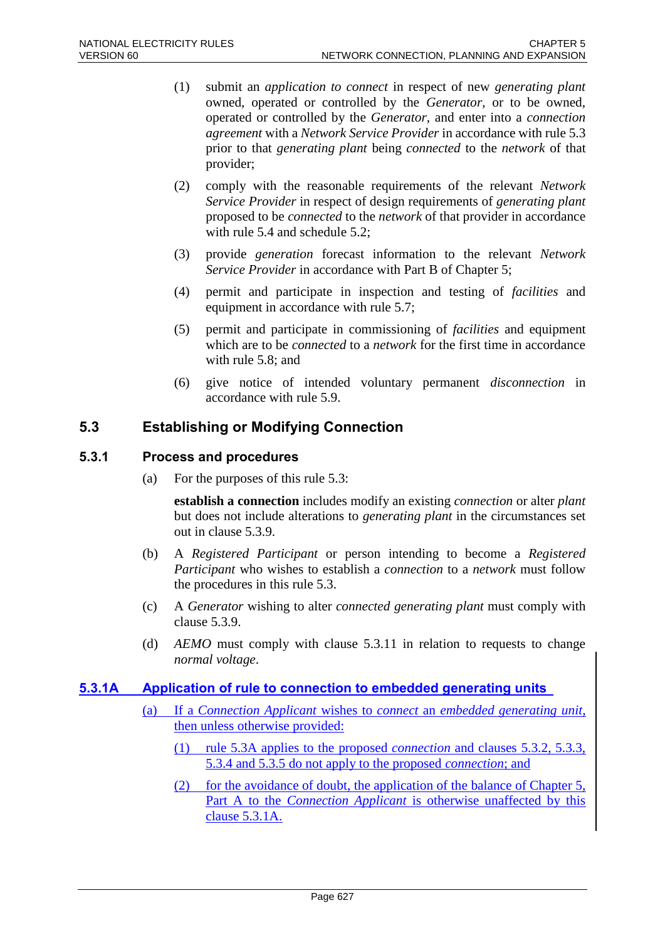- (1) submit an *application to connect* in respect of new *generating plant* owned, operated or controlled by the *Generator*, or to be owned, operated or controlled by the *Generator*, and enter into a *connection agreement* with a *Network Service Provider* in accordance with rule 5.3 prior to that *generating plant* being *connected* to the *network* of that provider;
- (2) comply with the reasonable requirements of the relevant *Network Service Provider* in respect of design requirements of *generating plant* proposed to be *connected* to the *network* of that provider in accordance with rule 5.4 and schedule 5.2;
- (3) provide *generation* forecast information to the relevant *Network Service Provider* in accordance with Part B of Chapter 5;
- (4) permit and participate in inspection and testing of *facilities* and equipment in accordance with rule 5.7;
- (5) permit and participate in commissioning of *facilities* and equipment which are to be *connected* to a *network* for the first time in accordance with rule 5.8; and
- (6) give notice of intended voluntary permanent *disconnection* in accordance with rule 5.9.

### **5.3 Establishing or Modifying Connection**

#### **5.3.1 Process and procedures**

(a) For the purposes of this rule 5.3:

**establish a connection** includes modify an existing *connection* or alter *plant* but does not include alterations to *generating plant* in the circumstances set out in clause 5.3.9.

- (b) A *Registered Participant* or person intending to become a *Registered Participant* who wishes to establish a *connection* to a *network* must follow the procedures in this rule 5.3.
- (c) A *Generator* wishing to alter *connected generating plant* must comply with clause 5.3.9.
- (d) *AEMO* must comply with clause 5.3.11 in relation to requests to change *normal voltage*.

### **5.3.1A Application of rule to connection to embedded generating units**

- (a) If a *Connection Applicant* wishes to *connect* an *embedded generating unit*, then unless otherwise provided:
	- (1) rule 5.3A applies to the proposed *connection* and clauses 5.3.2, 5.3.3, 5.3.4 and 5.3.5 do not apply to the proposed *connection*; and
	- (2) for the avoidance of doubt, the application of the balance of Chapter 5, Part A to the *Connection Applicant* is otherwise unaffected by this clause 5.3.1A.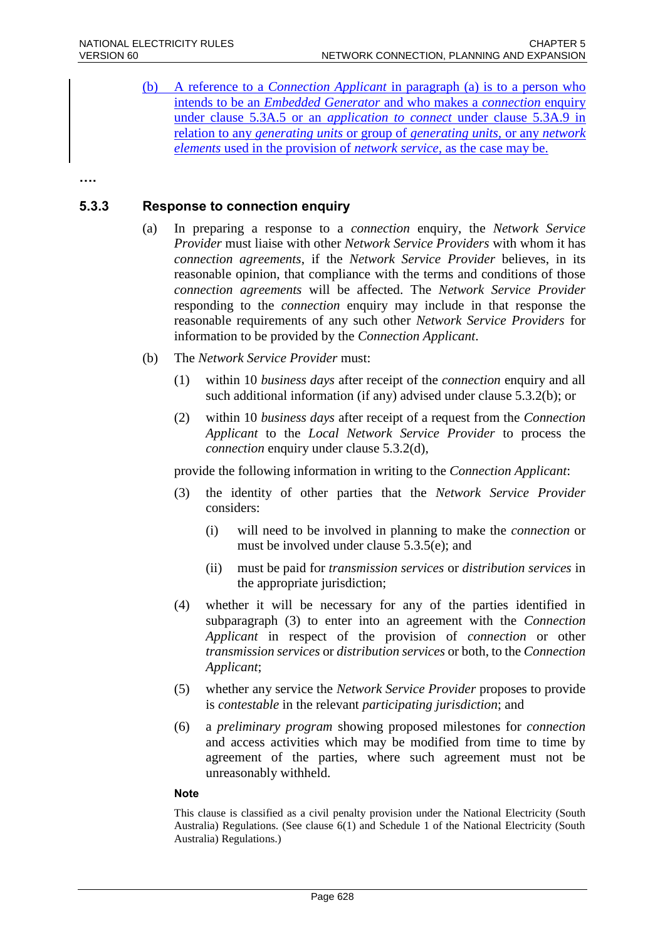(b) A reference to a *Connection Applicant* in paragraph (a) is to a person who intends to be an *Embedded Generator* and who makes a *connection* enquiry under clause 5.3A.5 or an *application to connect* under clause 5.3A.9 in relation to any *generating units* or group of *generating units,* or any *network elements* used in the provision of *network service,* as the case may be.

**….**

#### **5.3.3 Response to connection enquiry**

- (a) In preparing a response to a *connection* enquiry, the *Network Service Provider* must liaise with other *Network Service Providers* with whom it has *connection agreements*, if the *Network Service Provider* believes, in its reasonable opinion, that compliance with the terms and conditions of those *connection agreements* will be affected. The *Network Service Provider* responding to the *connection* enquiry may include in that response the reasonable requirements of any such other *Network Service Providers* for information to be provided by the *Connection Applicant*.
- (b) The *Network Service Provider* must:
	- (1) within 10 *business days* after receipt of the *connection* enquiry and all such additional information (if any) advised under clause 5.3.2(b); or
	- (2) within 10 *business days* after receipt of a request from the *Connection Applicant* to the *Local Network Service Provider* to process the *connection* enquiry under clause 5.3.2(d),

provide the following information in writing to the *Connection Applicant*:

- (3) the identity of other parties that the *Network Service Provider* considers:
	- (i) will need to be involved in planning to make the *connection* or must be involved under clause 5.3.5(e); and
	- (ii) must be paid for *transmission services* or *distribution services* in the appropriate jurisdiction;
- (4) whether it will be necessary for any of the parties identified in subparagraph (3) to enter into an agreement with the *Connection Applicant* in respect of the provision of *connection* or other *transmission services* or *distribution services* or both, to the *Connection Applicant*;
- (5) whether any service the *Network Service Provider* proposes to provide is *contestable* in the relevant *participating jurisdiction*; and
- (6) a *preliminary program* showing proposed milestones for *connection* and access activities which may be modified from time to time by agreement of the parties, where such agreement must not be unreasonably withheld.

#### **Note**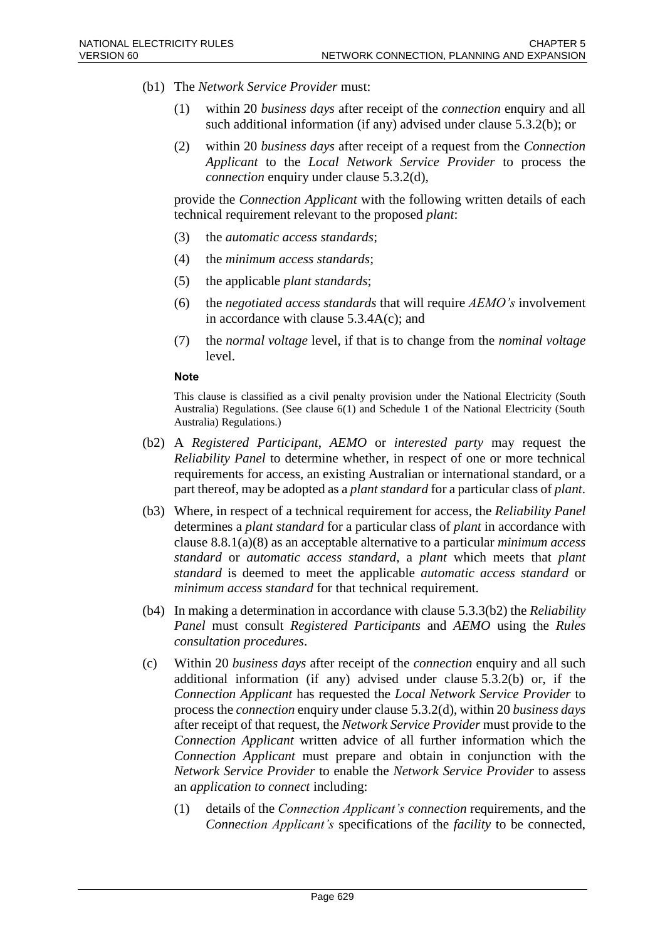- (b1) The *Network Service Provider* must:
	- (1) within 20 *business days* after receipt of the *connection* enquiry and all such additional information (if any) advised under clause 5.3.2(b); or
	- (2) within 20 *business days* after receipt of a request from the *Connection Applicant* to the *Local Network Service Provider* to process the *connection* enquiry under clause 5.3.2(d),

provide the *Connection Applicant* with the following written details of each technical requirement relevant to the proposed *plant*:

- (3) the *automatic access standards*;
- (4) the *minimum access standards*;
- (5) the applicable *plant standards*;
- (6) the *negotiated access standards* that will require *AEMO's* involvement in accordance with clause 5.3.4A(c); and
- (7) the *normal voltage* level, if that is to change from the *nominal voltage* level.

#### **Note**

- (b2) A *Registered Participant*, *AEMO* or *interested party* may request the *Reliability Panel* to determine whether, in respect of one or more technical requirements for access, an existing Australian or international standard, or a part thereof, may be adopted as a *plant standard* for a particular class of *plant*.
- (b3) Where, in respect of a technical requirement for access, the *Reliability Panel* determines a *plant standard* for a particular class of *plant* in accordance with clause 8.8.1(a)(8) as an acceptable alternative to a particular *minimum access standard* or *automatic access standard*, a *plant* which meets that *plant standard* is deemed to meet the applicable *automatic access standard* or *minimum access standard* for that technical requirement.
- (b4) In making a determination in accordance with clause 5.3.3(b2) the *Reliability Panel* must consult *Registered Participants* and *AEMO* using the *Rules consultation procedures*.
- (c) Within 20 *business days* after receipt of the *connection* enquiry and all such additional information (if any) advised under clause 5.3.2(b) or, if the *Connection Applicant* has requested the *Local Network Service Provider* to process the *connection* enquiry under clause 5.3.2(d), within 20 *business days* after receipt of that request, the *Network Service Provider* must provide to the *Connection Applicant* written advice of all further information which the *Connection Applicant* must prepare and obtain in conjunction with the *Network Service Provider* to enable the *Network Service Provider* to assess an *application to connect* including:
	- (1) details of the *Connection Applicant's connection* requirements, and the *Connection Applicant's* specifications of the *facility* to be connected,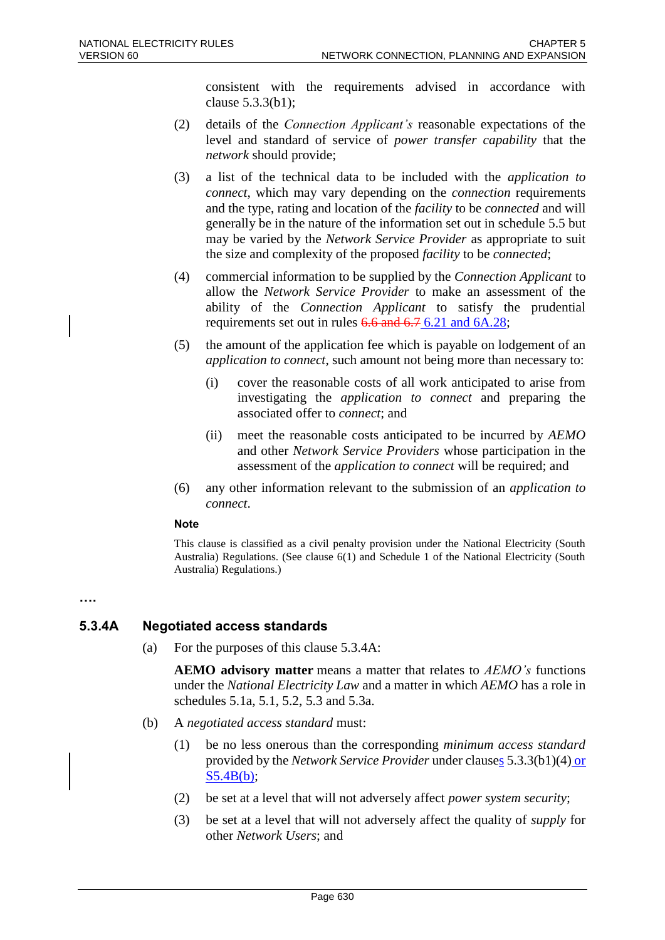consistent with the requirements advised in accordance with clause 5.3.3(b1);

- (2) details of the *Connection Applicant's* reasonable expectations of the level and standard of service of *power transfer capability* that the *network* should provide;
- (3) a list of the technical data to be included with the *application to connect*, which may vary depending on the *connection* requirements and the type, rating and location of the *facility* to be *connected* and will generally be in the nature of the information set out in schedule 5.5 but may be varied by the *Network Service Provider* as appropriate to suit the size and complexity of the proposed *facility* to be *connected*;
- (4) commercial information to be supplied by the *Connection Applicant* to allow the *Network Service Provider* to make an assessment of the ability of the *Connection Applicant* to satisfy the prudential requirements set out in rules 6.6 and 6.7 6.21 and 6A.28;
- (5) the amount of the application fee which is payable on lodgement of an *application to connect*, such amount not being more than necessary to:
	- (i) cover the reasonable costs of all work anticipated to arise from investigating the *application to connect* and preparing the associated offer to *connect*; and
	- (ii) meet the reasonable costs anticipated to be incurred by *AEMO* and other *Network Service Providers* whose participation in the assessment of the *application to connect* will be required; and
- (6) any other information relevant to the submission of an *application to connect*.

#### **Note**

This clause is classified as a civil penalty provision under the National Electricity (South Australia) Regulations. (See clause 6(1) and Schedule 1 of the National Electricity (South Australia) Regulations.)

#### **….**

### **5.3.4A Negotiated access standards**

(a) For the purposes of this clause 5.3.4A:

**AEMO advisory matter** means a matter that relates to *AEMO's* functions under the *National Electricity Law* and a matter in which *AEMO* has a role in schedules 5.1a, 5.1, 5.2, 5.3 and 5.3a.

- (b) A *negotiated access standard* must:
	- (1) be no less onerous than the corresponding *minimum access standard* provided by the *Network Service Provider* under clauses 5.3.3(b1)(4) or S5.4B(b);
	- (2) be set at a level that will not adversely affect *power system security*;
	- (3) be set at a level that will not adversely affect the quality of *supply* for other *Network Users*; and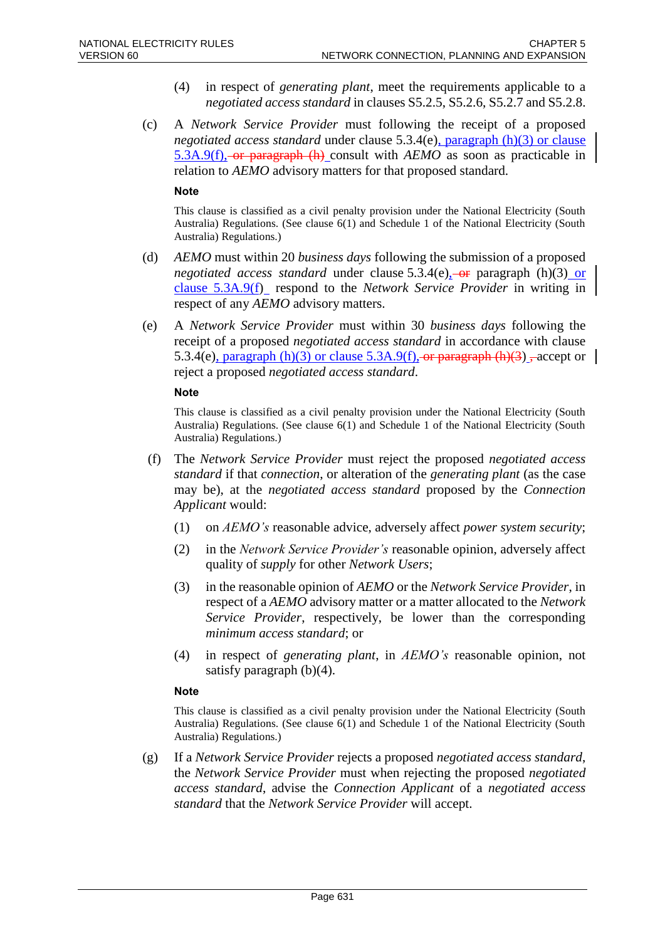- (4) in respect of *generating plant*, meet the requirements applicable to a *negotiated access standard* in clauses S5.2.5, S5.2.6, S5.2.7 and S5.2.8.
- (c) A *Network Service Provider* must following the receipt of a proposed *negotiated access standard* under clause 5.3.4(e), paragraph (h)(3) or clause 5.3A.9(f), or paragraph (h) consult with *AEMO* as soon as practicable in relation to *AEMO* advisory matters for that proposed standard.

#### **Note**

This clause is classified as a civil penalty provision under the National Electricity (South Australia) Regulations. (See clause 6(1) and Schedule 1 of the National Electricity (South Australia) Regulations.)

- (d) *AEMO* must within 20 *business days* following the submission of a proposed *negotiated access standard* under clause  $5.3.4(e)$ <sub>2</sub>-or paragraph (h)(3) or clause 5.3A.9(f) respond to the *Network Service Provider* in writing in respect of any *AEMO* advisory matters.
- (e) A *Network Service Provider* must within 30 *business days* following the receipt of a proposed *negotiated access standard* in accordance with clause 5.3.4(e), paragraph (h)(3) or clause 5.3A.9(f), or paragraph (h)(3), accept or | reject a proposed *negotiated access standard*.

#### **Note**

This clause is classified as a civil penalty provision under the National Electricity (South Australia) Regulations. (See clause 6(1) and Schedule 1 of the National Electricity (South Australia) Regulations.)

- (f) The *Network Service Provider* must reject the proposed *negotiated access standard* if that *connection*, or alteration of the *generating plant* (as the case may be), at the *negotiated access standard* proposed by the *Connection Applicant* would:
	- (1) on *AEMO's* reasonable advice, adversely affect *power system security*;
	- (2) in the *Network Service Provider's* reasonable opinion, adversely affect quality of *supply* for other *Network Users*;
	- (3) in the reasonable opinion of *AEMO* or the *Network Service Provider*, in respect of a *AEMO* advisory matter or a matter allocated to the *Network Service Provider*, respectively, be lower than the corresponding *minimum access standard*; or
	- (4) in respect of *generating plant*, in *AEMO's* reasonable opinion, not satisfy paragraph (b)(4).

#### **Note**

This clause is classified as a civil penalty provision under the National Electricity (South Australia) Regulations. (See clause 6(1) and Schedule 1 of the National Electricity (South Australia) Regulations.)

(g) If a *Network Service Provider* rejects a proposed *negotiated access standard*, the *Network Service Provider* must when rejecting the proposed *negotiated access standard*, advise the *Connection Applicant* of a *negotiated access standard* that the *Network Service Provider* will accept.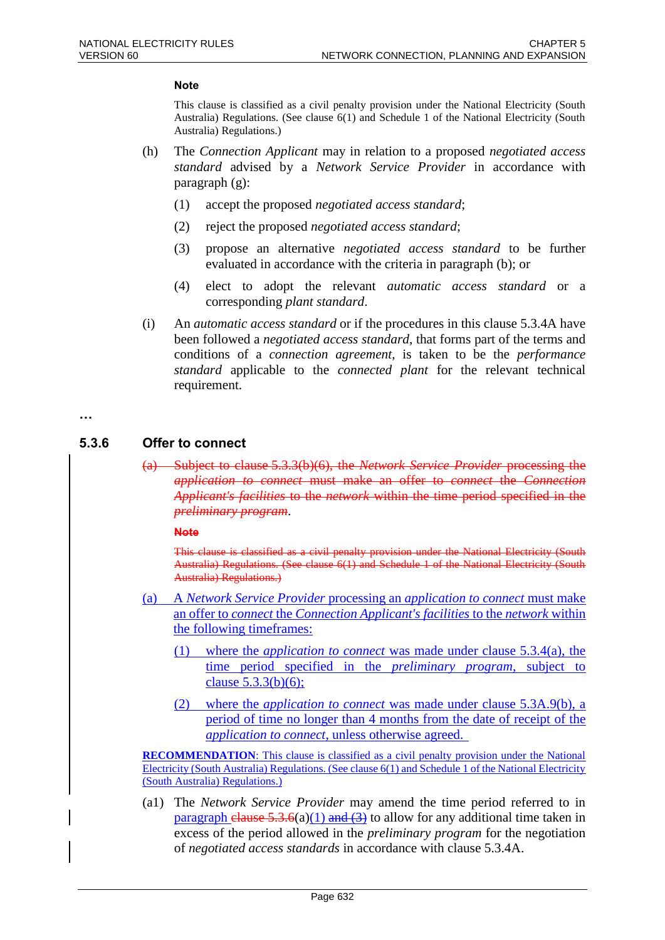#### **Note**

This clause is classified as a civil penalty provision under the National Electricity (South Australia) Regulations. (See clause 6(1) and Schedule 1 of the National Electricity (South Australia) Regulations.)

- (h) The *Connection Applicant* may in relation to a proposed *negotiated access standard* advised by a *Network Service Provider* in accordance with paragraph (g):
	- (1) accept the proposed *negotiated access standard*;
	- (2) reject the proposed *negotiated access standard*;
	- (3) propose an alternative *negotiated access standard* to be further evaluated in accordance with the criteria in paragraph (b); or
	- (4) elect to adopt the relevant *automatic access standard* or a corresponding *plant standard*.
- (i) An *automatic access standard* or if the procedures in this clause 5.3.4A have been followed a *negotiated access standard*, that forms part of the terms and conditions of a *connection agreement*, is taken to be the *performance standard* applicable to the *connected plant* for the relevant technical requirement.

#### **…**

#### **5.3.6 Offer to connect**

(a) Subject to clause 5.3.3(b)(6), the *Network Service Provider* processing the *application to connect* must make an offer to *connect* the *Connection Applicant's facilities* to the *network* within the time period specified in the *preliminary program*.

#### **Note**

This clause is classified as a civil penalty provision under the National Electricity (South Australia) Regulations. (See clause 6(1) and Schedule 1 of the National Electricity (South Australia) Regulations.)

- (a) A *Network Service Provider* processing an *application to connect* must make an offer to *connect* the *Connection Applicant's facilities* to the *network* within the following timeframes:
	- (1) where the *application to connect* was made under clause 5.3.4(a), the time period specified in the *preliminary program*, subject to clause 5.3.3(b)(6);
	- (2) where the *application to connect* was made under clause 5.3A.9(b), a period of time no longer than 4 months from the date of receipt of the *application to connect*, unless otherwise agreed.

**RECOMMENDATION**: This clause is classified as a civil penalty provision under the National Electricity (South Australia) Regulations. (See clause 6(1) and Schedule 1 of the National Electricity (South Australia) Regulations.)

(a1) The *Network Service Provider* may amend the time period referred to in paragraph clause 5.3.6(a)(1) and (3) to allow for any additional time taken in excess of the period allowed in the *preliminary program* for the negotiation of *negotiated access standards* in accordance with clause 5.3.4A.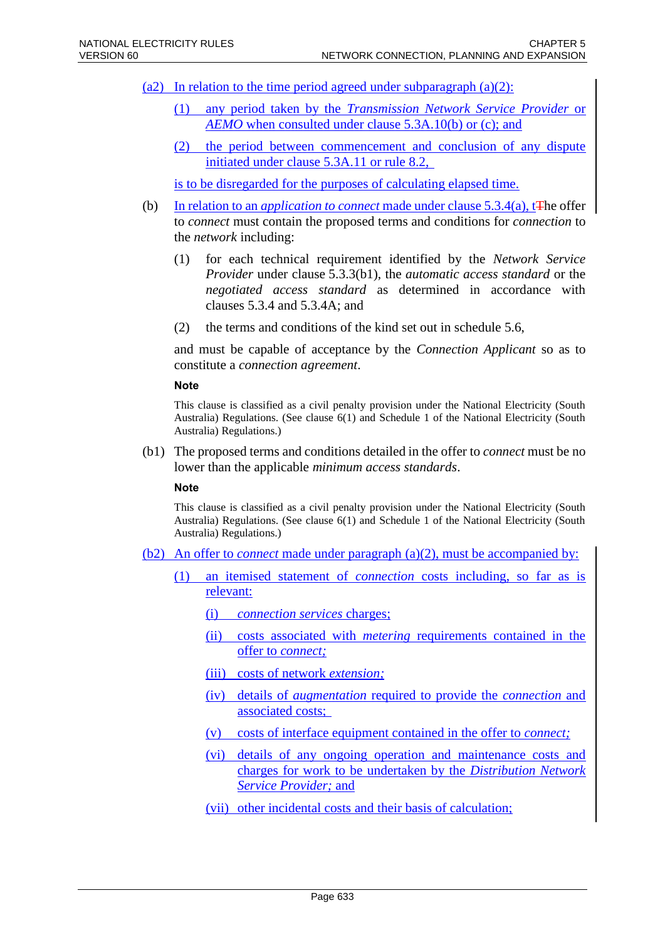- (a2) In relation to the time period agreed under subparagraph  $(a)(2)$ :
	- (1) any period taken by the *Transmission Network Service Provider* or *AEMO* when consulted under clause 5.3A.10(b) or (c); and
	- (2) the period between commencement and conclusion of any dispute initiated under clause 5.3A.11 or rule 8.2,

is to be disregarded for the purposes of calculating elapsed time.

- (b) In relation to an *application to connect* made under clause 5.3.4(a), t<del>T</del>he offer to *connect* must contain the proposed terms and conditions for *connection* to the *network* including:
	- (1) for each technical requirement identified by the *Network Service Provider* under clause 5.3.3(b1), the *automatic access standard* or the *negotiated access standard* as determined in accordance with clauses 5.3.4 and 5.3.4A; and
	- (2) the terms and conditions of the kind set out in schedule 5.6,

and must be capable of acceptance by the *Connection Applicant* so as to constitute a *connection agreement*.

#### **Note**

This clause is classified as a civil penalty provision under the National Electricity (South Australia) Regulations. (See clause 6(1) and Schedule 1 of the National Electricity (South Australia) Regulations.)

(b1) The proposed terms and conditions detailed in the offer to *connect* must be no lower than the applicable *minimum access standards*.

**Note**

- (b2) An offer to *connect* made under paragraph (a)(2), must be accompanied by:
	- (1) an itemised statement of *connection* costs including, so far as is relevant:
		- (i) *connection services* charges;
		- (ii) costs associated with *metering* requirements contained in the offer to *connect;*
		- (iii) costs of network *extension;*
		- (iv) details of *augmentation* required to provide the *connection* and associated costs;
		- (v) costs of interface equipment contained in the offer to *connect;*
		- (vi) details of any ongoing operation and maintenance costs and charges for work to be undertaken by the *Distribution Network Service Provider;* and
		- (vii) other incidental costs and their basis of calculation;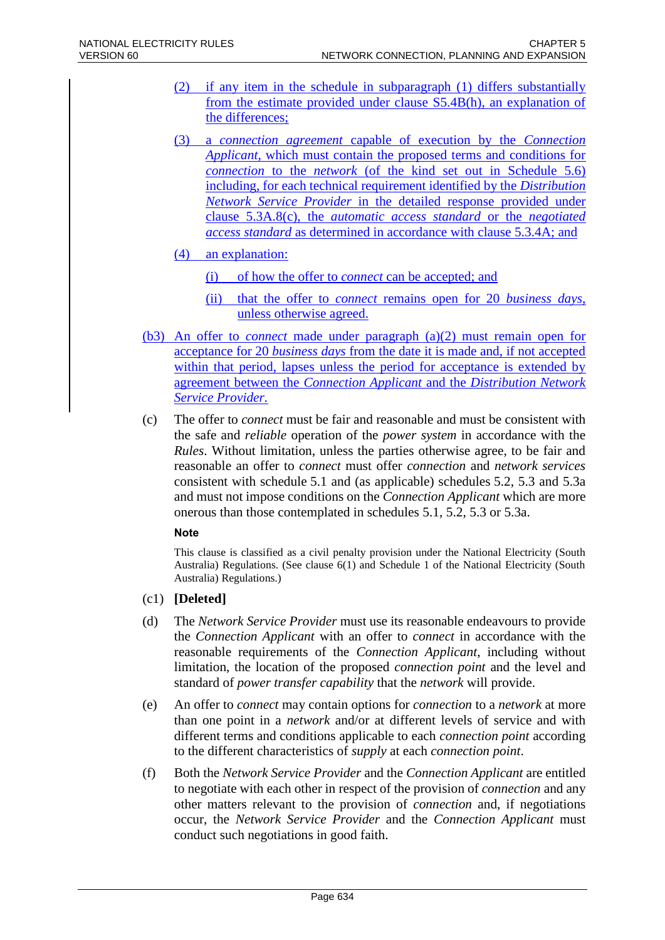- (2) if any item in the schedule in subparagraph (1) differs substantially from the estimate provided under clause S5.4B(h), an explanation of the differences;
- (3) a *connection agreement* capable of execution by the *Connection Applicant*, which must contain the proposed terms and conditions for *connection* to the *network* (of the kind set out in Schedule 5.6) including, for each technical requirement identified by the *Distribution Network Service Provider* in the detailed response provided under clause 5.3A.8(c), the *automatic access standard* or the *negotiated access standard* as determined in accordance with clause 5.3.4A; and
- (4) an explanation:
	- (i) of how the offer to *connect* can be accepted; and
	- (ii) that the offer to *connect* remains open for 20 *business days*, unless otherwise agreed.
- (b3) An offer to *connect* made under paragraph (a)(2) must remain open for acceptance for 20 *business days* from the date it is made and, if not accepted within that period, lapses unless the period for acceptance is extended by agreement between the *Connection Applicant* and the *Distribution Network Service Provider.*
- (c) The offer to *connect* must be fair and reasonable and must be consistent with the safe and *reliable* operation of the *power system* in accordance with the *Rules*. Without limitation, unless the parties otherwise agree, to be fair and reasonable an offer to *connect* must offer *connection* and *network services* consistent with schedule 5.1 and (as applicable) schedules 5.2, 5.3 and 5.3a and must not impose conditions on the *Connection Applicant* which are more onerous than those contemplated in schedules 5.1, 5.2, 5.3 or 5.3a.

#### **Note**

- (c1) **[Deleted]**
- (d) The *Network Service Provider* must use its reasonable endeavours to provide the *Connection Applicant* with an offer to *connect* in accordance with the reasonable requirements of the *Connection Applicant*, including without limitation, the location of the proposed *connection point* and the level and standard of *power transfer capability* that the *network* will provide.
- (e) An offer to *connect* may contain options for *connection* to a *network* at more than one point in a *network* and/or at different levels of service and with different terms and conditions applicable to each *connection point* according to the different characteristics of *supply* at each *connection point*.
- (f) Both the *Network Service Provider* and the *Connection Applicant* are entitled to negotiate with each other in respect of the provision of *connection* and any other matters relevant to the provision of *connection* and, if negotiations occur, the *Network Service Provider* and the *Connection Applicant* must conduct such negotiations in good faith.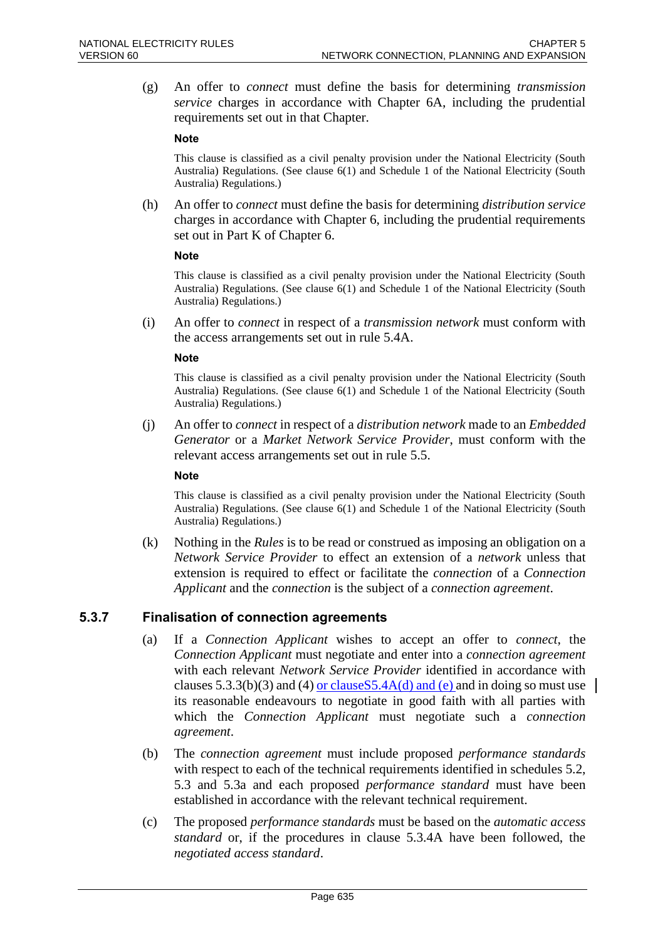(g) An offer to *connect* must define the basis for determining *transmission service* charges in accordance with Chapter 6A, including the prudential requirements set out in that Chapter.

#### **Note**

This clause is classified as a civil penalty provision under the National Electricity (South Australia) Regulations. (See clause 6(1) and Schedule 1 of the National Electricity (South Australia) Regulations.)

(h) An offer to *connect* must define the basis for determining *distribution service* charges in accordance with Chapter 6, including the prudential requirements set out in Part K of Chapter 6.

#### **Note**

This clause is classified as a civil penalty provision under the National Electricity (South Australia) Regulations. (See clause 6(1) and Schedule 1 of the National Electricity (South Australia) Regulations.)

(i) An offer to *connect* in respect of a *transmission network* must conform with the access arrangements set out in rule 5.4A.

#### **Note**

This clause is classified as a civil penalty provision under the National Electricity (South Australia) Regulations. (See clause 6(1) and Schedule 1 of the National Electricity (South Australia) Regulations.)

(j) An offer to *connect* in respect of a *distribution network* made to an *Embedded Generator* or a *Market Network Service Provider*, must conform with the relevant access arrangements set out in rule 5.5.

#### **Note**

This clause is classified as a civil penalty provision under the National Electricity (South Australia) Regulations. (See clause 6(1) and Schedule 1 of the National Electricity (South Australia) Regulations.)

(k) Nothing in the *Rules* is to be read or construed as imposing an obligation on a *Network Service Provider* to effect an extension of a *network* unless that extension is required to effect or facilitate the *connection* of a *Connection Applicant* and the *connection* is the subject of a *connection agreement*.

### **5.3.7 Finalisation of connection agreements**

- (a) If a *Connection Applicant* wishes to accept an offer to *connect*, the *Connection Applicant* must negotiate and enter into a *connection agreement* with each relevant *Network Service Provider* identified in accordance with clauses 5.3.3(b)(3) and (4) or clause  $5.3.4A(d)$  and (e) and in doing so must use its reasonable endeavours to negotiate in good faith with all parties with which the *Connection Applicant* must negotiate such a *connection agreement*.
- (b) The *connection agreement* must include proposed *performance standards* with respect to each of the technical requirements identified in schedules 5.2, 5.3 and 5.3a and each proposed *performance standard* must have been established in accordance with the relevant technical requirement.
- (c) The proposed *performance standards* must be based on the *automatic access standard* or, if the procedures in clause 5.3.4A have been followed, the *negotiated access standard*.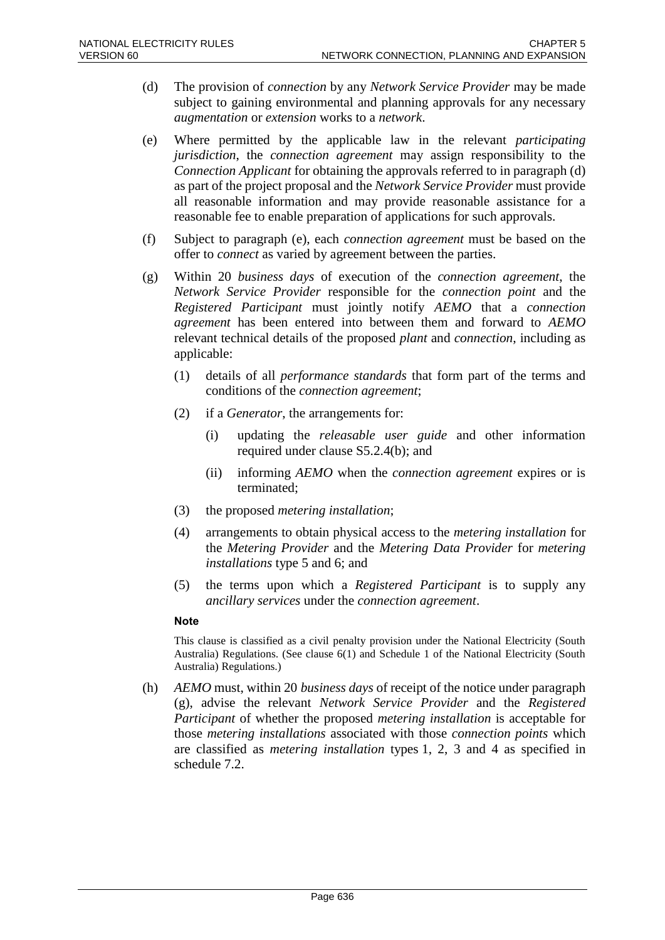- (d) The provision of *connection* by any *Network Service Provider* may be made subject to gaining environmental and planning approvals for any necessary *augmentation* or *extension* works to a *network*.
- (e) Where permitted by the applicable law in the relevant *participating jurisdiction*, the *connection agreement* may assign responsibility to the *Connection Applicant* for obtaining the approvals referred to in paragraph (d) as part of the project proposal and the *Network Service Provider* must provide all reasonable information and may provide reasonable assistance for a reasonable fee to enable preparation of applications for such approvals.
- (f) Subject to paragraph (e), each *connection agreement* must be based on the offer to *connect* as varied by agreement between the parties.
- (g) Within 20 *business days* of execution of the *connection agreement*, the *Network Service Provider* responsible for the *connection point* and the *Registered Participant* must jointly notify *AEMO* that a *connection agreement* has been entered into between them and forward to *AEMO* relevant technical details of the proposed *plant* and *connection*, including as applicable:
	- (1) details of all *performance standards* that form part of the terms and conditions of the *connection agreement*;
	- (2) if a *Generator*, the arrangements for:
		- (i) updating the *releasable user guide* and other information required under clause S5.2.4(b); and
		- (ii) informing *AEMO* when the *connection agreement* expires or is terminated;
	- (3) the proposed *metering installation*;
	- (4) arrangements to obtain physical access to the *metering installation* for the *Metering Provider* and the *Metering Data Provider* for *metering installations* type 5 and 6; and
	- (5) the terms upon which a *Registered Participant* is to supply any *ancillary services* under the *connection agreement*.

#### **Note**

This clause is classified as a civil penalty provision under the National Electricity (South Australia) Regulations. (See clause 6(1) and Schedule 1 of the National Electricity (South Australia) Regulations.)

(h) *AEMO* must, within 20 *business days* of receipt of the notice under paragraph (g), advise the relevant *Network Service Provider* and the *Registered Participant* of whether the proposed *metering installation* is acceptable for those *metering installations* associated with those *connection points* which are classified as *metering installation* types 1, 2, 3 and 4 as specified in schedule 7.2.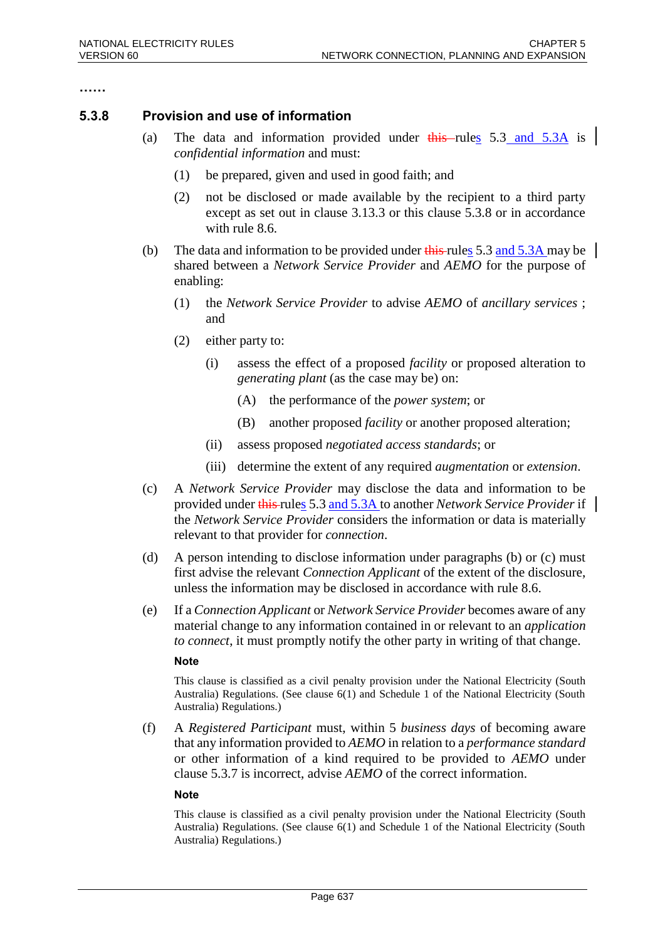**……**

### **5.3.8 Provision and use of information**

- (a) The data and information provided under  $\frac{1}{\text{this}}$ -rules 5.3 and 5.3A is *confidential information* and must:
	- (1) be prepared, given and used in good faith; and
	- (2) not be disclosed or made available by the recipient to a third party except as set out in clause 3.13.3 or this clause 5.3.8 or in accordance with rule 8.6.
- (b) The data and information to be provided under  $\frac{1}{100}$  rules 5.3 and 5.3A may be shared between a *Network Service Provider* and *AEMO* for the purpose of enabling:
	- (1) the *Network Service Provider* to advise *AEMO* of *ancillary services* ; and
	- (2) either party to:
		- (i) assess the effect of a proposed *facility* or proposed alteration to *generating plant* (as the case may be) on:
			- (A) the performance of the *power system*; or
			- (B) another proposed *facility* or another proposed alteration;
		- (ii) assess proposed *negotiated access standards*; or
		- (iii) determine the extent of any required *augmentation* or *extension*.
- (c) A *Network Service Provider* may disclose the data and information to be provided under this rules 5.3 and 5.3A to another *Network Service Provider* if the *Network Service Provider* considers the information or data is materially relevant to that provider for *connection*.
- (d) A person intending to disclose information under paragraphs (b) or (c) must first advise the relevant *Connection Applicant* of the extent of the disclosure, unless the information may be disclosed in accordance with rule 8.6.
- (e) If a *Connection Applicant* or *Network Service Provider* becomes aware of any material change to any information contained in or relevant to an *application to connect*, it must promptly notify the other party in writing of that change.

#### **Note**

This clause is classified as a civil penalty provision under the National Electricity (South Australia) Regulations. (See clause 6(1) and Schedule 1 of the National Electricity (South Australia) Regulations.)

(f) A *Registered Participant* must, within 5 *business days* of becoming aware that any information provided to *AEMO* in relation to a *performance standard* or other information of a kind required to be provided to *AEMO* under clause 5.3.7 is incorrect, advise *AEMO* of the correct information.

#### **Note**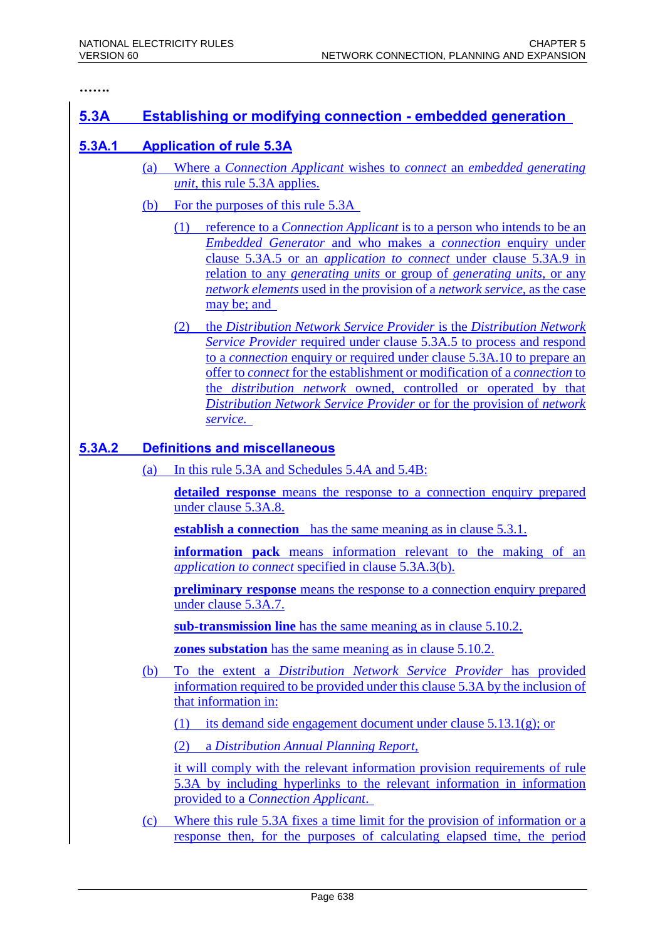**…….** 

### **5.3A Establishing or modifying connection - embedded generation**

### **5.3A.1 Application of rule 5.3A**

- (a) Where a *Connection Applicant* wishes to *connect* an *embedded generating unit*, this rule 5.3A applies.
- (b) For the purposes of this rule 5.3A
	- (1) reference to a *Connection Applicant* is to a person who intends to be an *Embedded Generator* and who makes a *connection* enquiry under clause 5.3A.5 or an *application to connect* under clause 5.3A.9 in relation to any *generating units* or group of *generating units,* or any *network elements* used in the provision of a *network service,* as the case may be; and
	- (2) the *Distribution Network Service Provider* is the *Distribution Network Service Provider* required under clause 5.3A.5 to process and respond to a *connection* enquiry or required under clause 5.3A.10 to prepare an offer to *connect* for the establishment or modification of a *connection* to the *distribution network* owned, controlled or operated by that *Distribution Network Service Provider* or for the provision of *network service.*

### **5.3A.2 Definitions and miscellaneous**

(a) In this rule 5.3A and Schedules 5.4A and 5.4B:

**detailed response** means the response to a connection enquiry prepared under clause 5.3A.8.

**establish a connection** has the same meaning as in clause 5.3.1.

**information pack** means information relevant to the making of an *application to connect* specified in clause 5.3A.3(b).

**preliminary response** means the response to a connection enquiry prepared under clause 5.3A.7.

**sub-transmission line** has the same meaning as in clause 5.10.2.

**zones substation** has the same meaning as in clause 5.10.2.

- (b) To the extent a *Distribution Network Service Provider* has provided information required to be provided under this clause 5.3A by the inclusion of that information in:
	- (1) its demand side engagement document under clause 5.13.1(g); or
	- (2) a *Distribution Annual Planning Report,*

it will comply with the relevant information provision requirements of rule 5.3A by including hyperlinks to the relevant information in information provided to a *Connection Applicant*.

(c) Where this rule 5.3A fixes a time limit for the provision of information or a response then, for the purposes of calculating elapsed time, the period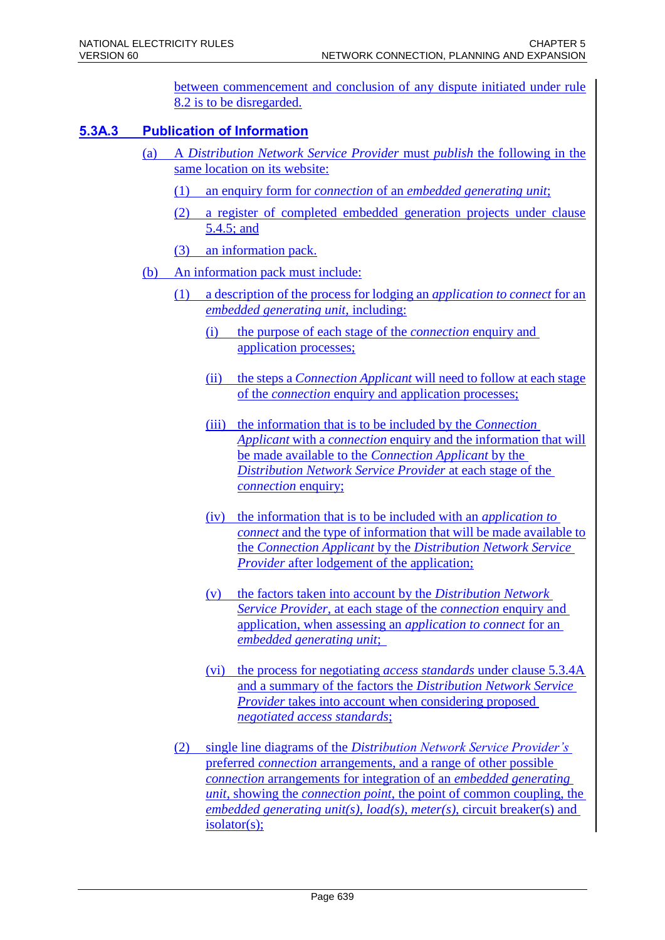between commencement and conclusion of any dispute initiated under rule 8.2 is to be disregarded.

### **5.3A.3 Publication of Information**

- (a) A *Distribution Network Service Provider* must *publish* the following in the same location on its website:
	- (1) an enquiry form for *connection* of an *embedded generating unit*;
	- (2) a register of completed embedded generation projects under clause 5.4.5; and
	- (3) an information pack.
- (b) An information pack must include:
	- (1) a description of the process for lodging an *application to connect* for an *embedded generating unit,* including:
		- (i) the purpose of each stage of the *connection* enquiry and application processes;
		- (ii) the steps a *Connection Applicant* will need to follow at each stage of the *connection* enquiry and application processes;
		- (iii) the information that is to be included by the *Connection Applicant* with a *connection* enquiry and the information that will be made available to the *Connection Applicant* by the *Distribution Network Service Provider* at each stage of the *connection* enquiry;
		- (iv) the information that is to be included with an *application to connect* and the type of information that will be made available to the *Connection Applicant* by the *Distribution Network Service Provider* after lodgement of the application;
		- (v) the factors taken into account by the *Distribution Network Service Provider,* at each stage of the *connection* enquiry and application, when assessing an *application to connect* for an *embedded generating unit*;
		- (vi) the process for negotiating *access standards* under clause 5.3.4A and a summary of the factors the *Distribution Network Service Provider* takes into account when considering proposed *negotiated access standards*;
	- (2) single line diagrams of the *Distribution Network Service Provider's*  preferred *connection* arrangements, and a range of other possible *connection* arrangements for integration of an *embedded generating unit*, showing the *connection point*, the point of common coupling, the *embedded generating unit(s)*, *load(s)*, *meter(s)*, circuit breaker(s) and isolator(s);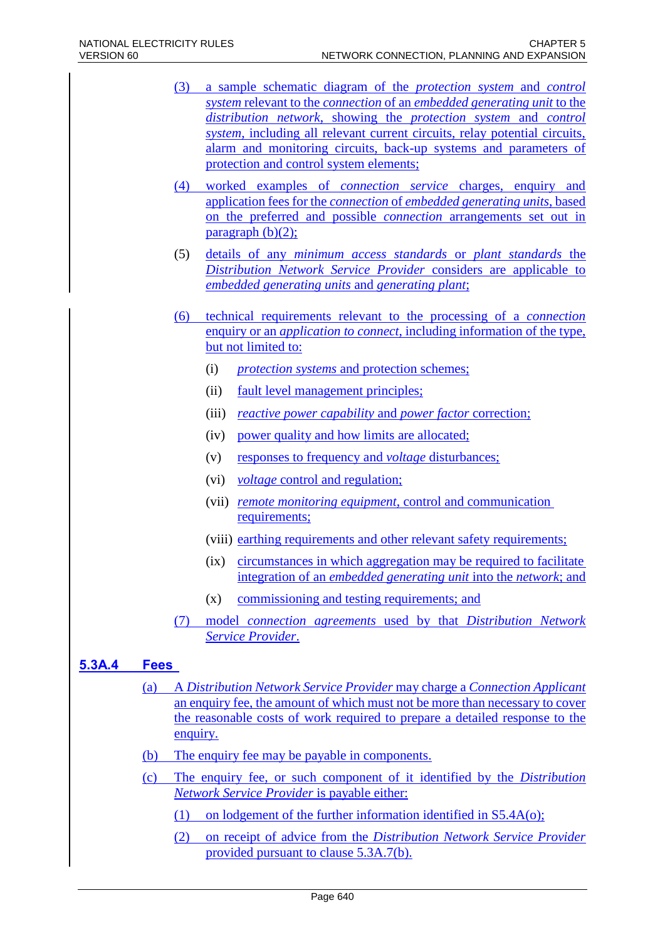- (3) a sample schematic diagram of the *protection system* and *control system* relevant to the *connection* of an *embedded generating unit* to the *distribution network*, showing the *protection system* and *control system*, including all relevant current circuits, relay potential circuits, alarm and monitoring circuits, back-up systems and parameters of protection and control system elements;
- (4) worked examples of *connection service* charges, enquiry and application fees for the *connection* of *embedded generating units*, based on the preferred and possible *connection* arrangements set out in paragraph  $(b)(2)$ ;
- (5) details of any *minimum access standards* or *plant standards* the *Distribution Network Service Provider* considers are applicable to *embedded generating units* and *generating plant*;
- (6) technical requirements relevant to the processing of a *connection* enquiry or an *application to connect*, including information of the type, but not limited to:
	- (i) *protection systems* and protection schemes;
	- (ii) fault level management principles;
	- (iii) *reactive power capability* and *power factor* correction;
	- (iv) power quality and how limits are allocated;
	- (v) responses to frequency and *voltage* disturbances;
	- (vi) *voltage* control and regulation;
	- (vii) *remote monitoring equipment*, control and communication requirements;
	- (viii) earthing requirements and other relevant safety requirements;
	- (ix) circumstances in which aggregation may be required to facilitate integration of an *embedded generating unit* into the *network*; and
	- (x) commissioning and testing requirements; and
- (7) model *connection agreements* used by that *Distribution Network Service Provider*.

### **5.3A.4 Fees**

- (a) A *Distribution Network Service Provider* may charge a *Connection Applicant* an enquiry fee, the amount of which must not be more than necessary to cover the reasonable costs of work required to prepare a detailed response to the enquiry.
- (b) The enquiry fee may be payable in components.
- (c) The enquiry fee, or such component of it identified by the *Distribution Network Service Provider* is payable either:

(1) on lodgement of the further information identified in S5.4A(o);

(2) on receipt of advice from the *Distribution Network Service Provider* provided pursuant to clause 5.3A.7(b).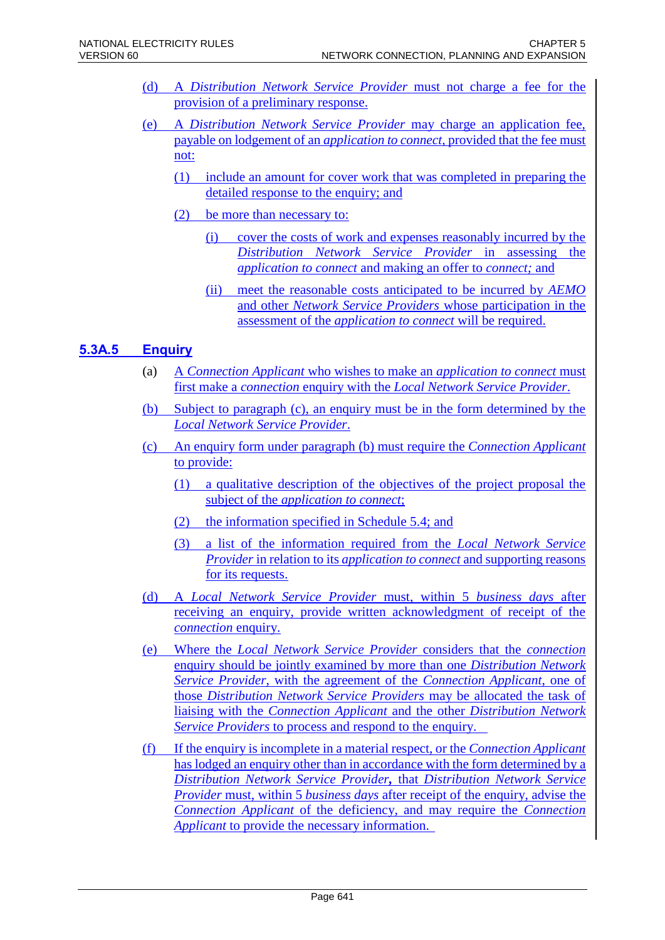- (d) A *Distribution Network Service Provider* must not charge a fee for the provision of a preliminary response.
- (e) A *Distribution Network Service Provider* may charge an application fee, payable on lodgement of an *application to connect,* provided that the fee must not:
	- (1) include an amount for cover work that was completed in preparing the detailed response to the enquiry; and
	- (2) be more than necessary to:
		- (i) cover the costs of work and expenses reasonably incurred by the *Distribution Network Service Provider* in assessing the *application to connect* and making an offer to *connect;* and
		- (ii) meet the reasonable costs anticipated to be incurred by *AEMO* and other *Network Service Providers* whose participation in the assessment of the *application to connect* will be required.

### **5.3A.5 Enquiry**

- (a) A *Connection Applicant* who wishes to make an *application to connect* must first make a *connection* enquiry with the *Local Network Service Provider*.
- (b) Subject to paragraph (c), an enquiry must be in the form determined by the *Local Network Service Provider*.
- (c) An enquiry form under paragraph (b) must require the *Connection Applicant* to provide:
	- (1) a qualitative description of the objectives of the project proposal the subject of the *application to connect*;
	- (2) the information specified in Schedule 5.4; and
	- (3) a list of the information required from the *Local Network Service Provider* in relation to its *application to connect* and supporting reasons for its requests.
- (d) A *Local Network Service Provider* must, within 5 *business days* after receiving an enquiry, provide written acknowledgment of receipt of the *connection* enquiry.
- (e) Where the *Local Network Service Provider* considers that the *connection* enquiry should be jointly examined by more than one *Distribution Network Service Provider*, with the agreement of the *Connection Applicant*, one of those *Distribution Network Service Providers* may be allocated the task of liaising with the *Connection Applicant* and the other *Distribution Network Service Providers* to process and respond to the enquiry.
- (f) If the enquiry is incomplete in a material respect, or the *Connection Applicant* has lodged an enquiry other than in accordance with the form determined by a *Distribution Network Service Provider,* that *Distribution Network Service Provider* must, within 5 *business days* after receipt of the enquiry, advise the *Connection Applicant* of the deficiency, and may require the *Connection Applicant* to provide the necessary information.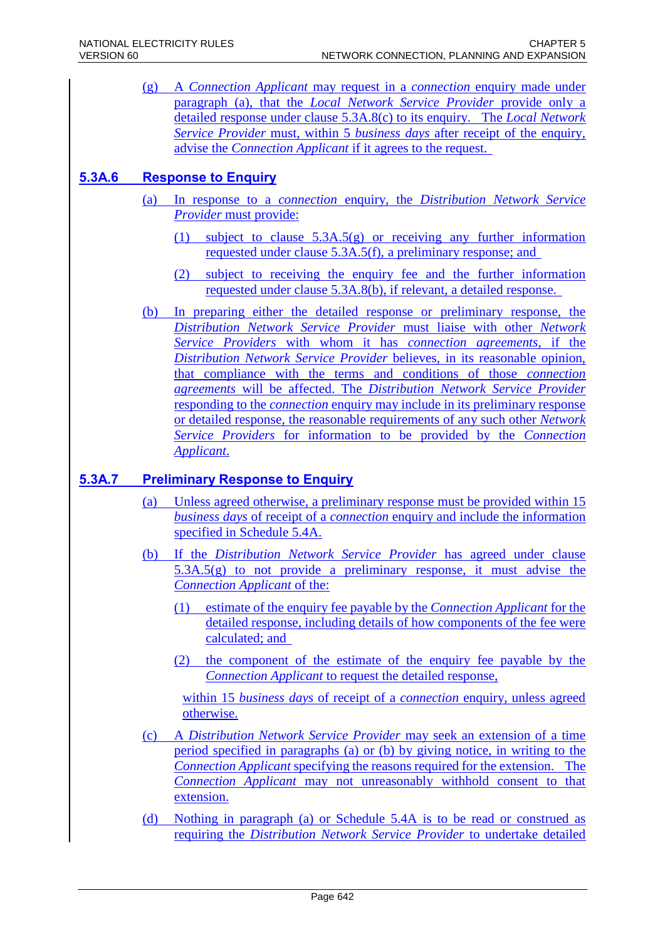(g) A *Connection Applicant* may request in a *connection* enquiry made under paragraph (a), that the *Local Network Service Provider* provide only a detailed response under clause 5.3A.8(c) to its enquiry. The *Local Network Service Provider* must, within 5 *business days* after receipt of the enquiry, advise the *Connection Applicant* if it agrees to the request.

### **5.3A.6 Response to Enquiry**

- (a) In response to a *connection* enquiry, the *Distribution Network Service Provider* must provide:
	- (1) subject to clause 5.3A.5(g) or receiving any further information requested under clause 5.3A.5(f), a preliminary response; and
	- (2) subject to receiving the enquiry fee and the further information requested under clause 5.3A.8(b), if relevant, a detailed response.
- (b) In preparing either the detailed response or preliminary response, the *Distribution Network Service Provider* must liaise with other *Network Service Providers* with whom it has *connection agreements*, if the *Distribution Network Service Provider* believes, in its reasonable opinion, that compliance with the terms and conditions of those *connection agreements* will be affected. The *Distribution Network Service Provider* responding to the *connection* enquiry may include in its preliminary response or detailed response, the reasonable requirements of any such other *Network Service Providers* for information to be provided by the *Connection Applicant*.

### **5.3A.7 Preliminary Response to Enquiry**

- (a) Unless agreed otherwise, a preliminary response must be provided within 15 *business days* of receipt of a *connection* enquiry and include the information specified in Schedule 5.4A.
- (b) If the *Distribution Network Service Provider* has agreed under clause 5.3A.5(g) to not provide a preliminary response, it must advise the *Connection Applicant* of the:
	- (1) estimate of the enquiry fee payable by the *Connection Applicant* for the detailed response, including details of how components of the fee were calculated; and
	- (2) the component of the estimate of the enquiry fee payable by the *Connection Applicant* to request the detailed response,

within 15 *business days* of receipt of a *connection* enquiry, unless agreed otherwise.

- (c) A *Distribution Network Service Provider* may seek an extension of a time period specified in paragraphs (a) or (b) by giving notice, in writing to the *Connection Applicant* specifying the reasons required for the extension. The *Connection Applicant* may not unreasonably withhold consent to that extension.
- (d) Nothing in paragraph (a) or Schedule 5.4A is to be read or construed as requiring the *Distribution Network Service Provider* to undertake detailed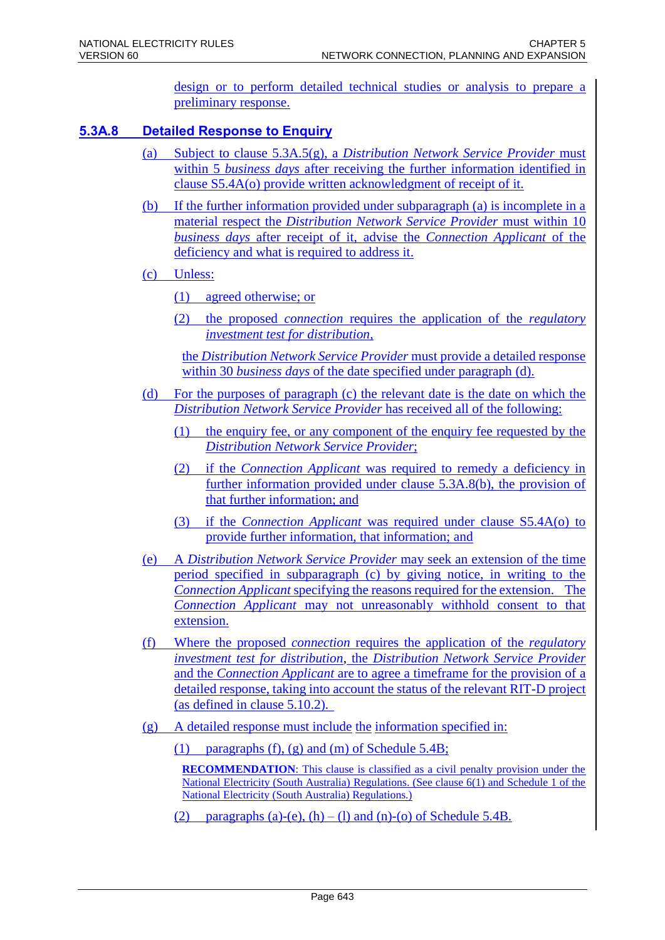design or to perform detailed technical studies or analysis to prepare a preliminary response.

### **5.3A.8 Detailed Response to Enquiry**

- (a) Subject to clause 5.3A.5(g), a *Distribution Network Service Provider* must within 5 *business days* after receiving the further information identified in clause S5.4A(o) provide written acknowledgment of receipt of it.
- (b) If the further information provided under subparagraph (a) is incomplete in a material respect the *Distribution Network Service Provider* must within 10 *business days* after receipt of it, advise the *Connection Applicant* of the deficiency and what is required to address it.
- (c) Unless:
	- (1) agreed otherwise; or
	- (2) the proposed *connection* requires the application of the *regulatory investment test for distribution,*

the *Distribution Network Service Provider* must provide a detailed response within 30 *business days* of the date specified under paragraph (d).

- (d) For the purposes of paragraph (c) the relevant date is the date on which the *Distribution Network Service Provider* has received all of the following:
	- (1) the enquiry fee, or any component of the enquiry fee requested by the *Distribution Network Service Provider*;
	- (2) if the *Connection Applicant* was required to remedy a deficiency in further information provided under clause 5.3A.8(b), the provision of that further information; and
	- (3) if the *Connection Applicant* was required under clause S5.4A(o) to provide further information, that information; and
- (e) A *Distribution Network Service Provider* may seek an extension of the time period specified in subparagraph (c) by giving notice, in writing to the *Connection Applicant* specifying the reasons required for the extension. The *Connection Applicant* may not unreasonably withhold consent to that extension.
- (f) Where the proposed *connection* requires the application of the *regulatory investment test for distribution*, the *Distribution Network Service Provider* and the *Connection Applicant* are to agree a timeframe for the provision of a detailed response, taking into account the status of the relevant RIT-D project (as defined in clause 5.10.2).
- (g) A detailed response must include the information specified in:
	- (1) paragraphs (f), (g) and (m) of Schedule  $5.4B$ ;

**RECOMMENDATION:** This clause is classified as a civil penalty provision under the National Electricity (South Australia) Regulations. (See clause 6(1) and Schedule 1 of the National Electricity (South Australia) Regulations.)

(2) paragraphs (a)-(e),  $(h) - (l)$  and  $(n)$ -(o) of Schedule 5.4B.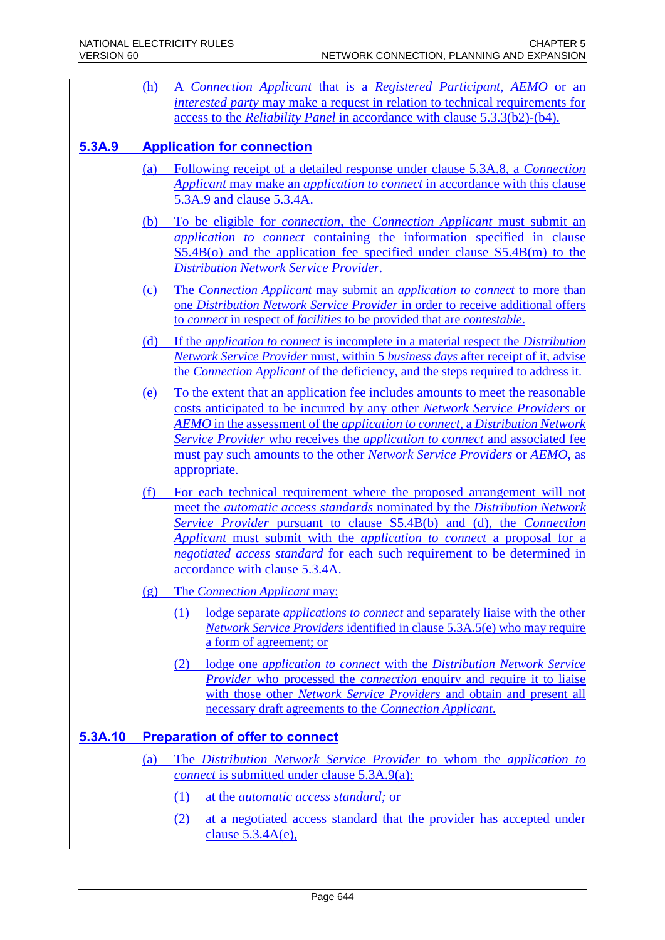(h) A *Connection Applicant* that is a *Registered Participant, AEMO* or an *interested party* may make a request in relation to technical requirements for access to the *Reliability Panel* in accordance with clause 5.3.3(b2)-(b4).

### **5.3A.9 Application for connection**

- (a) Following receipt of a detailed response under clause 5.3A.8, a *Connection Applicant* may make an *application to connect* in accordance with this clause 5.3A.9 and clause 5.3.4A.
- (b) To be eligible for *connection*, the *Connection Applicant* must submit an *application to connect* containing the information specified in clause S5.4B(o) and the application fee specified under clause S5.4B(m) to the *Distribution Network Service Provider.*
- (c) The *Connection Applicant* may submit an *application to connect* to more than one *Distribution Network Service Provider* in order to receive additional offers to *connect* in respect of *facilities* to be provided that are *contestable*.
- (d) If the *application to connect* is incomplete in a material respect the *Distribution Network Service Provider* must, within 5 *business days* after receipt of it, advise the *Connection Applicant* of the deficiency, and the steps required to address it.
- (e) To the extent that an application fee includes amounts to meet the reasonable costs anticipated to be incurred by any other *Network Service Providers* or *AEMO* in the assessment of the *application to connect*, a *Distribution Network Service Provider* who receives the *application to connect* and associated fee must pay such amounts to the other *Network Service Providers* or *AEMO*, as appropriate.
- (f) For each technical requirement where the proposed arrangement will not meet the *automatic access standards* nominated by the *Distribution Network Service Provider* pursuant to clause S5.4B(b) and (d), the *Connection Applicant* must submit with the *application to connect* a proposal for a *negotiated access standard* for each such requirement to be determined in accordance with clause 5.3.4A.
- (g) The *Connection Applicant* may:
	- (1) lodge separate *applications to connect* and separately liaise with the other *Network Service Providers* identified in clause 5.3A.5(e) who may require a form of agreement; or
	- (2) lodge one *application to connect* with the *Distribution Network Service Provider* who processed the *connection* enquiry and require it to liaise with those other *Network Service Providers* and obtain and present all necessary draft agreements to the *Connection Applicant*.

### **5.3A.10 Preparation of offer to connect**

- (a) The *Distribution Network Service Provider* to whom the *application to connect* is submitted under clause 5.3A.9(a):
	- (1) at the *automatic access standard;* or
	- (2) at a negotiated access standard that the provider has accepted under clause 5.3.4A(e),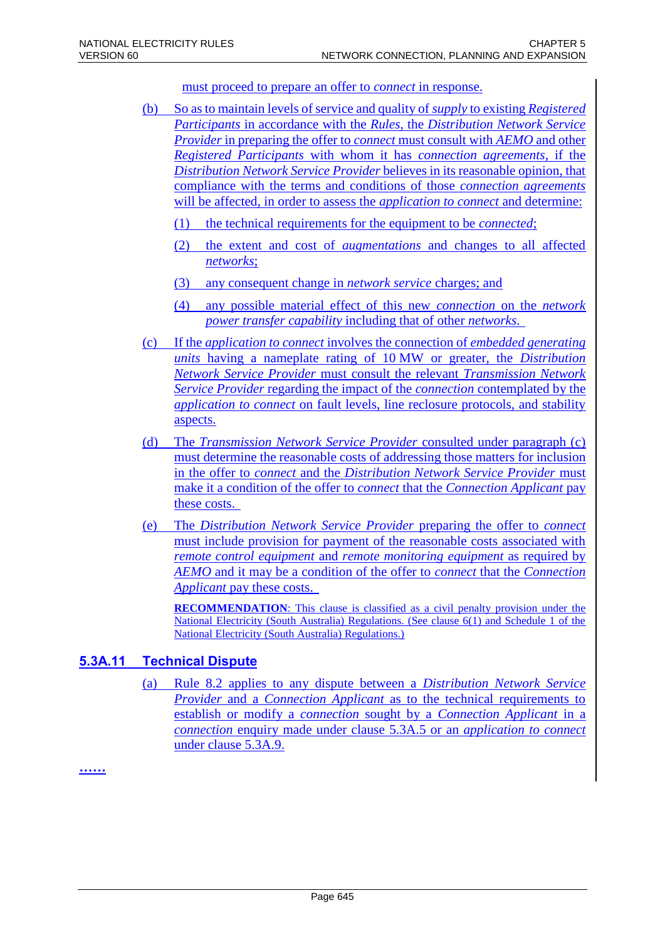must proceed to prepare an offer to *connect* in response.

- (b) So as to maintain levels of service and quality of *supply* to existing *Registered Participants* in accordance with the *Rules*, the *Distribution Network Service Provider* in preparing the offer to *connect* must consult with *AEMO* and other *Registered Participants* with whom it has *connection agreements*, if the *Distribution Network Service Provider* believes in its reasonable opinion, that compliance with the terms and conditions of those *connection agreements* will be affected, in order to assess the *application to connect* and determine:
	- (1) the technical requirements for the equipment to be *connected*;
	- (2) the extent and cost of *augmentations* and changes to all affected *networks*;
	- (3) any consequent change in *network service* charges; and
	- (4) any possible material effect of this new *connection* on the *network power transfer capability* including that of other *networks*.
- (c) If the *application to connect* involves the connection of *embedded generating units* having a nameplate rating of 10 MW or greater, the *Distribution Network Service Provider* must consult the relevant *Transmission Network Service Provider* regarding the impact of the *connection* contemplated by the *application to connect* on fault levels, line reclosure protocols, and stability aspects.
- (d) The *Transmission Network Service Provider* consulted under paragraph (c) must determine the reasonable costs of addressing those matters for inclusion in the offer to *connect* and the *Distribution Network Service Provider* must make it a condition of the offer to *connect* that the *Connection Applicant* pay these costs.
- (e) The *Distribution Network Service Provider* preparing the offer to *connect* must include provision for payment of the reasonable costs associated with *remote control equipment* and *remote monitoring equipment* as required by *AEMO* and it may be a condition of the offer to *connect* that the *Connection Applicant* pay these costs.

**RECOMMENDATION:** This clause is classified as a civil penalty provision under the National Electricity (South Australia) Regulations. (See clause 6(1) and Schedule 1 of the National Electricity (South Australia) Regulations.)

### **5.3A.11 Technical Dispute**

(a) Rule 8.2 applies to any dispute between a *Distribution Network Service Provider* and a *Connection Applicant* as to the technical requirements to establish or modify a *connection* sought by a *Connection Applicant* in a *connection* enquiry made under clause 5.3A.5 or an *application to connect*  under clause 5.3A.9.

**……**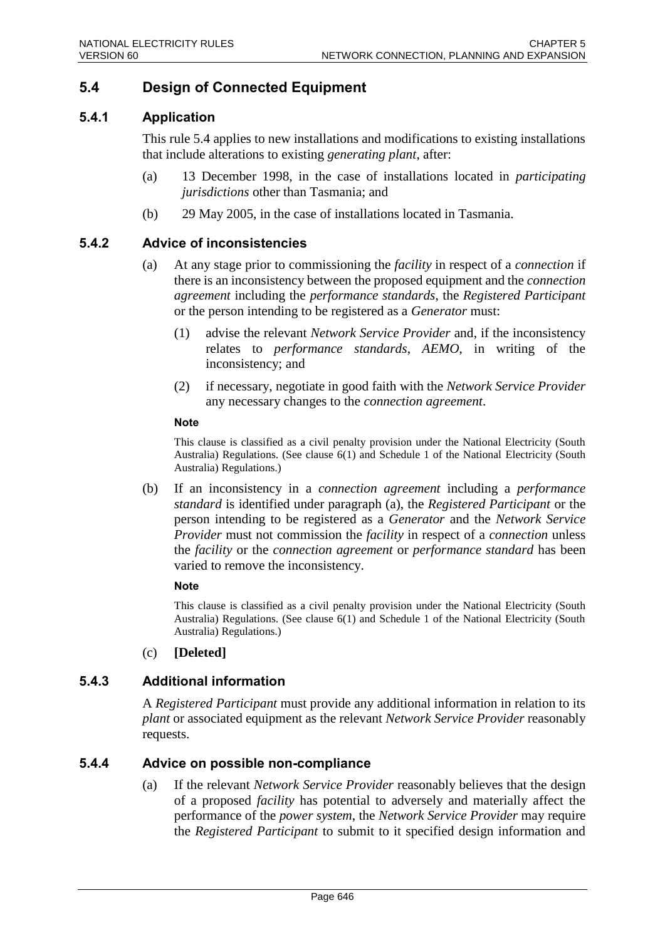### **5.4 Design of Connected Equipment**

### **5.4.1 Application**

This rule 5.4 applies to new installations and modifications to existing installations that include alterations to existing *generating plant*, after:

- (a) 13 December 1998, in the case of installations located in *participating jurisdictions* other than Tasmania; and
- (b) 29 May 2005, in the case of installations located in Tasmania.

### **5.4.2 Advice of inconsistencies**

- (a) At any stage prior to commissioning the *facility* in respect of a *connection* if there is an inconsistency between the proposed equipment and the *connection agreement* including the *performance standards*, the *Registered Participant* or the person intending to be registered as a *Generator* must:
	- (1) advise the relevant *Network Service Provider* and, if the inconsistency relates to *performance standards*, *AEMO*, in writing of the inconsistency; and
	- (2) if necessary, negotiate in good faith with the *Network Service Provider* any necessary changes to the *connection agreement*.

#### **Note**

This clause is classified as a civil penalty provision under the National Electricity (South Australia) Regulations. (See clause 6(1) and Schedule 1 of the National Electricity (South Australia) Regulations.)

(b) If an inconsistency in a *connection agreement* including a *performance standard* is identified under paragraph (a), the *Registered Participant* or the person intending to be registered as a *Generator* and the *Network Service Provider* must not commission the *facility* in respect of a *connection* unless the *facility* or the *connection agreement* or *performance standard* has been varied to remove the inconsistency.

#### **Note**

This clause is classified as a civil penalty provision under the National Electricity (South Australia) Regulations. (See clause 6(1) and Schedule 1 of the National Electricity (South Australia) Regulations.)

(c) **[Deleted]**

### **5.4.3 Additional information**

A *Registered Participant* must provide any additional information in relation to its *plant* or associated equipment as the relevant *Network Service Provider* reasonably requests.

### **5.4.4 Advice on possible non-compliance**

(a) If the relevant *Network Service Provider* reasonably believes that the design of a proposed *facility* has potential to adversely and materially affect the performance of the *power system*, the *Network Service Provider* may require the *Registered Participant* to submit to it specified design information and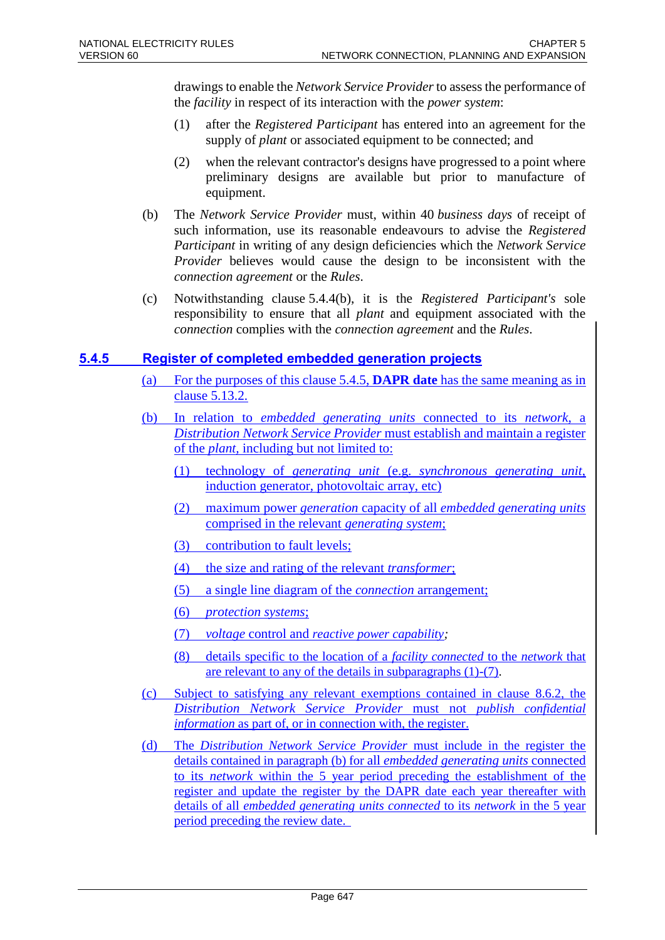drawings to enable the *Network Service Provider* to assess the performance of the *facility* in respect of its interaction with the *power system*:

- (1) after the *Registered Participant* has entered into an agreement for the supply of *plant* or associated equipment to be connected; and
- (2) when the relevant contractor's designs have progressed to a point where preliminary designs are available but prior to manufacture of equipment.
- (b) The *Network Service Provider* must, within 40 *business days* of receipt of such information, use its reasonable endeavours to advise the *Registered Participant* in writing of any design deficiencies which the *Network Service Provider* believes would cause the design to be inconsistent with the *connection agreement* or the *Rules*.
- (c) Notwithstanding clause 5.4.4(b), it is the *Registered Participant's* sole responsibility to ensure that all *plant* and equipment associated with the *connection* complies with the *connection agreement* and the *Rules*.

### **5.4.5 Register of completed embedded generation projects**

- (a) For the purposes of this clause 5.4.5, **DAPR date** has the same meaning as in clause 5.13.2.
- (b) In relation to *embedded generating units* connected to its *network*, a *Distribution Network Service Provider* must establish and maintain a register of the *plant,* including but not limited to:
	- (1) technology of *generating unit* (e.g. *synchronous generating unit*, induction generator, photovoltaic array, etc)
	- (2) maximum power *generation* capacity of all *embedded generating units* comprised in the relevant *generating system*;
	- (3) contribution to fault levels;
	- (4) the size and rating of the relevant *transformer*;
	- (5) a single line diagram of the *connection* arrangement;
	- (6) *protection systems*;
	- (7) *voltage* control and *reactive power capability;*
	- (8) details specific to the location of a *facility connected* to the *network* that are relevant to any of the details in subparagraphs (1)-(7).
- (c) Subject to satisfying any relevant exemptions contained in clause 8.6.2, the *Distribution Network Service Provider* must not *publish confidential information* as part of, or in connection with, the register.
- (d) The *Distribution Network Service Provider* must include in the register the details contained in paragraph (b) for all *embedded generating units* connected to its *network* within the 5 year period preceding the establishment of the register and update the register by the DAPR date each year thereafter with details of all *embedded generating units connected* to its *network* in the 5 year period preceding the review date.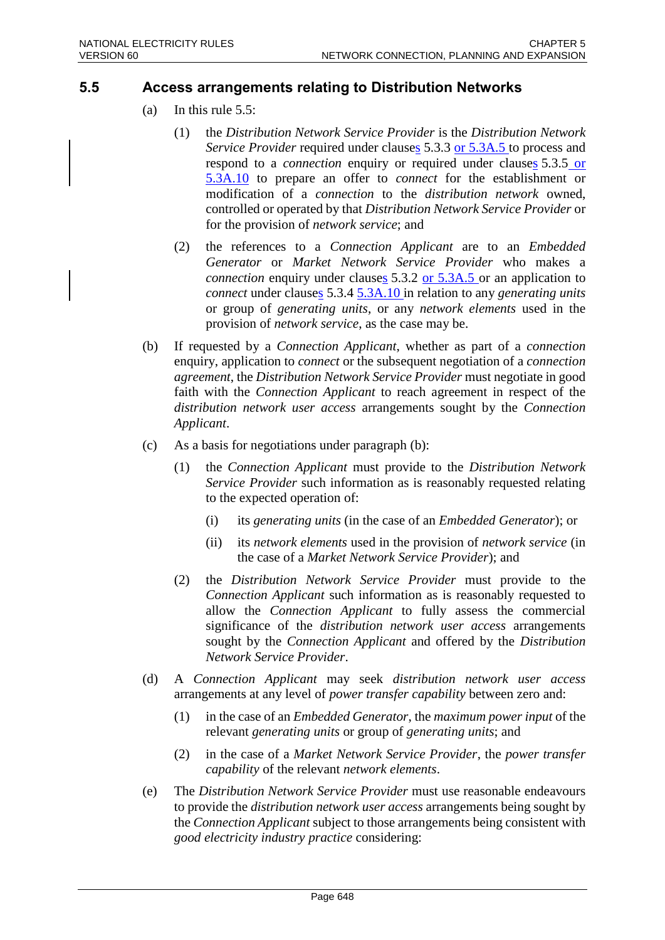### **5.5 Access arrangements relating to Distribution Networks**

- (a) In this rule 5.5:
	- (1) the *Distribution Network Service Provider* is the *Distribution Network Service Provider* required under clauses 5.3.3 or 5.3A.5 to process and respond to a *connection* enquiry or required under clauses 5.3.5 or 5.3A.10 to prepare an offer to *connect* for the establishment or modification of a *connection* to the *distribution network* owned, controlled or operated by that *Distribution Network Service Provider* or for the provision of *network service*; and
	- (2) the references to a *Connection Applicant* are to an *Embedded Generator* or *Market Network Service Provider* who makes a *connection* enquiry under clauses 5.3.2 or 5.3A.5 or an application to *connect* under clauses 5.3.4 5.3A.10 in relation to any *generating units* or group of *generating units*, or any *network elements* used in the provision of *network service*, as the case may be.
- (b) If requested by a *Connection Applicant*, whether as part of a *connection* enquiry, application to *connect* or the subsequent negotiation of a *connection agreement*, the *Distribution Network Service Provider* must negotiate in good faith with the *Connection Applicant* to reach agreement in respect of the *distribution network user access* arrangements sought by the *Connection Applicant*.
- (c) As a basis for negotiations under paragraph (b):
	- (1) the *Connection Applicant* must provide to the *Distribution Network Service Provider* such information as is reasonably requested relating to the expected operation of:
		- (i) its *generating units* (in the case of an *Embedded Generator*); or
		- (ii) its *network elements* used in the provision of *network service* (in the case of a *Market Network Service Provider*); and
	- (2) the *Distribution Network Service Provider* must provide to the *Connection Applicant* such information as is reasonably requested to allow the *Connection Applicant* to fully assess the commercial significance of the *distribution network user access* arrangements sought by the *Connection Applicant* and offered by the *Distribution Network Service Provider*.
- (d) A *Connection Applicant* may seek *distribution network user access* arrangements at any level of *power transfer capability* between zero and:
	- (1) in the case of an *Embedded Generator*, the *maximum power input* of the relevant *generating units* or group of *generating units*; and
	- (2) in the case of a *Market Network Service Provider*, the *power transfer capability* of the relevant *network elements*.
- (e) The *Distribution Network Service Provider* must use reasonable endeavours to provide the *distribution network user access* arrangements being sought by the *Connection Applicant* subject to those arrangements being consistent with *good electricity industry practice* considering: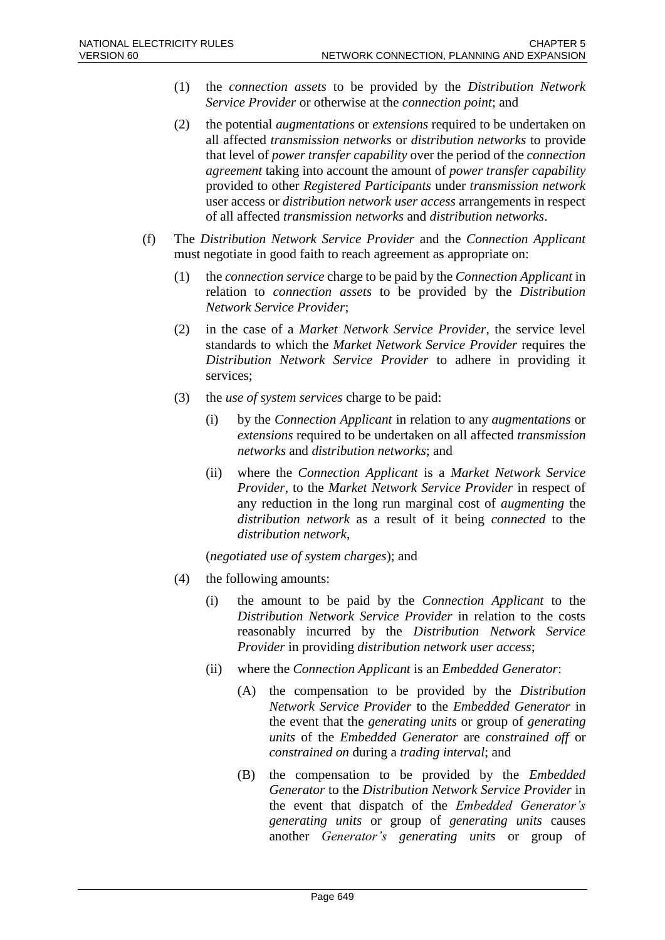- (1) the *connection assets* to be provided by the *Distribution Network Service Provider* or otherwise at the *connection point*; and
- (2) the potential *augmentations* or *extensions* required to be undertaken on all affected *transmission networks* or *distribution networks* to provide that level of *power transfer capability* over the period of the *connection agreement* taking into account the amount of *power transfer capability* provided to other *Registered Participants* under *transmission network* user access or *distribution network user access* arrangements in respect of all affected *transmission networks* and *distribution networks*.
- (f) The *Distribution Network Service Provider* and the *Connection Applicant* must negotiate in good faith to reach agreement as appropriate on:
	- (1) the *connection service* charge to be paid by the *Connection Applicant* in relation to *connection assets* to be provided by the *Distribution Network Service Provider*;
	- (2) in the case of a *Market Network Service Provider*, the service level standards to which the *Market Network Service Provider* requires the *Distribution Network Service Provider* to adhere in providing it services;
	- (3) the *use of system services* charge to be paid:
		- (i) by the *Connection Applicant* in relation to any *augmentations* or *extensions* required to be undertaken on all affected *transmission networks* and *distribution networks*; and
		- (ii) where the *Connection Applicant* is a *Market Network Service Provider*, to the *Market Network Service Provider* in respect of any reduction in the long run marginal cost of *augmenting* the *distribution network* as a result of it being *connected* to the *distribution network*,

(*negotiated use of system charges*); and

- (4) the following amounts:
	- (i) the amount to be paid by the *Connection Applicant* to the *Distribution Network Service Provider* in relation to the costs reasonably incurred by the *Distribution Network Service Provider* in providing *distribution network user access*;
	- (ii) where the *Connection Applicant* is an *Embedded Generator*:
		- (A) the compensation to be provided by the *Distribution Network Service Provider* to the *Embedded Generator* in the event that the *generating units* or group of *generating units* of the *Embedded Generator* are *constrained off* or *constrained on* during a *trading interval*; and
		- (B) the compensation to be provided by the *Embedded Generator* to the *Distribution Network Service Provider* in the event that dispatch of the *Embedded Generator's generating units* or group of *generating units* causes another *Generator's generating units* or group of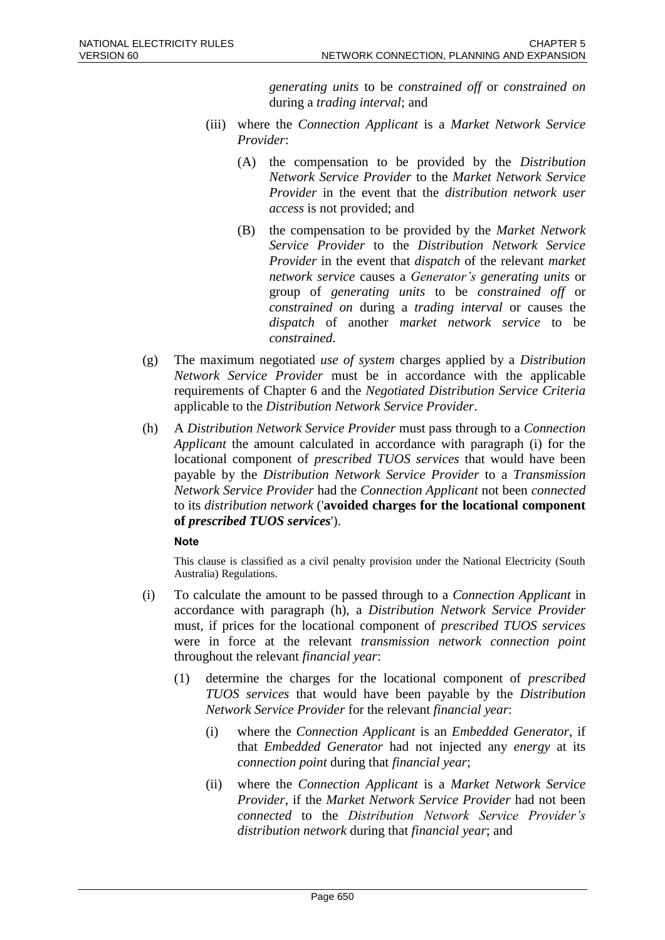*generating units* to be *constrained off* or *constrained on* during a *trading interval*; and

- (iii) where the *Connection Applicant* is a *Market Network Service Provider*:
	- (A) the compensation to be provided by the *Distribution Network Service Provider* to the *Market Network Service Provider* in the event that the *distribution network user access* is not provided; and
	- (B) the compensation to be provided by the *Market Network Service Provider* to the *Distribution Network Service Provider* in the event that *dispatch* of the relevant *market network service* causes a *Generator's generating units* or group of *generating units* to be *constrained off* or *constrained on* during a *trading interval* or causes the *dispatch* of another *market network service* to be *constrained*.
- (g) The maximum negotiated *use of system* charges applied by a *Distribution Network Service Provider* must be in accordance with the applicable requirements of Chapter 6 and the *Negotiated Distribution Service Criteria* applicable to the *Distribution Network Service Provider*.
- (h) A *Distribution Network Service Provider* must pass through to a *Connection Applicant* the amount calculated in accordance with paragraph (i) for the locational component of *prescribed TUOS services* that would have been payable by the *Distribution Network Service Provider* to a *Transmission Network Service Provider* had the *Connection Applicant* not been *connected* to its *distribution network* ('**avoided charges for the locational component of** *prescribed TUOS services*').

#### **Note**

This clause is classified as a civil penalty provision under the National Electricity (South Australia) Regulations.

- (i) To calculate the amount to be passed through to a *Connection Applicant* in accordance with paragraph (h), a *Distribution Network Service Provider* must, if prices for the locational component of *prescribed TUOS services* were in force at the relevant *transmission network connection point* throughout the relevant *financial year*:
	- (1) determine the charges for the locational component of *prescribed TUOS services* that would have been payable by the *Distribution Network Service Provider* for the relevant *financial year*:
		- (i) where the *Connection Applicant* is an *Embedded Generator*, if that *Embedded Generator* had not injected any *energy* at its *connection point* during that *financial year*;
		- (ii) where the *Connection Applicant* is a *Market Network Service Provider*, if the *Market Network Service Provider* had not been *connected* to the *Distribution Network Service Provider's distribution network* during that *financial year*; and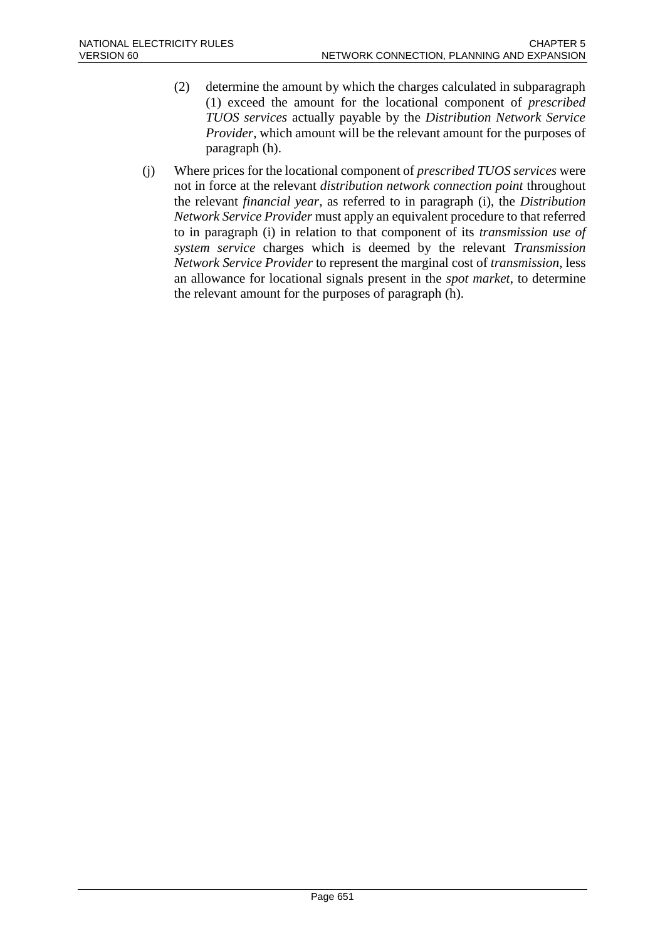- (2) determine the amount by which the charges calculated in subparagraph (1) exceed the amount for the locational component of *prescribed TUOS services* actually payable by the *Distribution Network Service Provider*, which amount will be the relevant amount for the purposes of paragraph (h).
- (j) Where prices for the locational component of *prescribed TUOS services* were not in force at the relevant *distribution network connection point* throughout the relevant *financial year*, as referred to in paragraph (i), the *Distribution Network Service Provider* must apply an equivalent procedure to that referred to in paragraph (i) in relation to that component of its *transmission use of system service* charges which is deemed by the relevant *Transmission Network Service Provider* to represent the marginal cost of *transmission*, less an allowance for locational signals present in the *spot market*, to determine the relevant amount for the purposes of paragraph (h).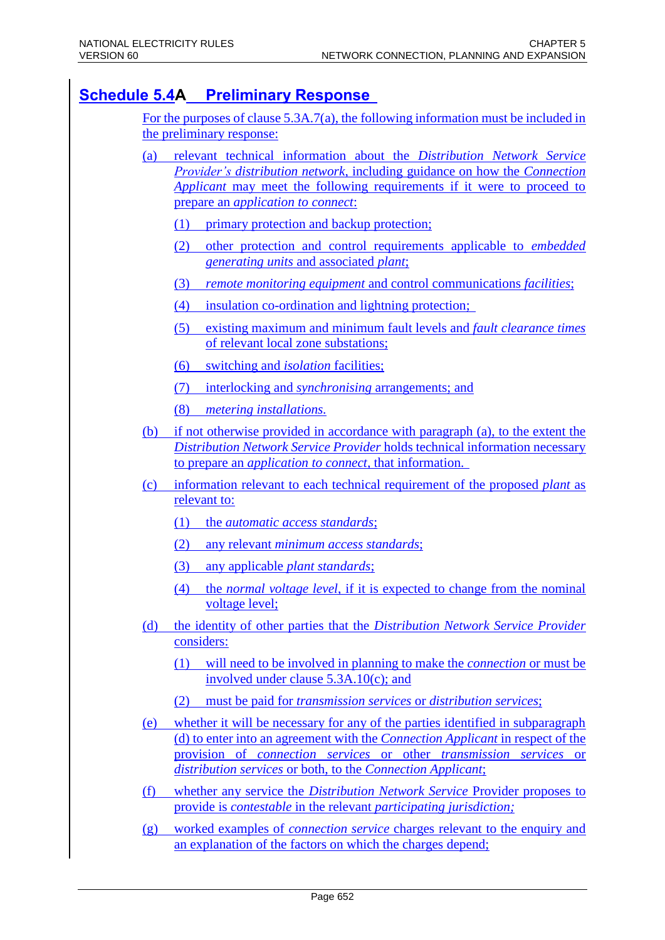### **Schedule 5.4A Preliminary Response**

For the purposes of clause 5.3A.7(a), the following information must be included in the preliminary response:

- (a) relevant technical information about the *Distribution Network Service Provider's distribution network*, including guidance on how the *Connection Applicant* may meet the following requirements if it were to proceed to prepare an *application to connect*:
	- (1) primary protection and backup protection;
	- (2) other protection and control requirements applicable to *embedded generating units* and associated *plant*;
	- (3) *remote monitoring equipment* and control communications *facilities*;
	- (4) insulation co-ordination and lightning protection;
	- (5) existing maximum and minimum fault levels and *fault clearance times* of relevant local zone substations;
	- (6) switching and *isolation* facilities;
	- (7) interlocking and *synchronising* arrangements; and
	- (8) *metering installations.*
- (b) if not otherwise provided in accordance with paragraph (a), to the extent the *Distribution Network Service Provider* holds technical information necessary to prepare an *application to connect,* that information.
- (c) information relevant to each technical requirement of the proposed *plant* as relevant to:
	- (1) the *automatic access standards*;
	- (2) any relevant *minimum access standards*;
	- (3) any applicable *plant standards*;
	- (4) the *normal voltage level*, if it is expected to change from the nominal voltage level;
- (d) the identity of other parties that the *Distribution Network Service Provider* considers:
	- (1) will need to be involved in planning to make the *connection* or must be involved under clause 5.3A.10(c); and
	- (2) must be paid for *transmission services* or *distribution services*;
- (e) whether it will be necessary for any of the parties identified in subparagraph (d) to enter into an agreement with the *Connection Applicant* in respect of the provision of *connection services* or other *transmission services* or *distribution services* or both, to the *Connection Applicant*;
- (f) whether any service the *Distribution Network Service* Provider proposes to provide is *contestable* in the relevant *participating jurisdiction;*
- (g) worked examples of *connection service* charges relevant to the enquiry and an explanation of the factors on which the charges depend;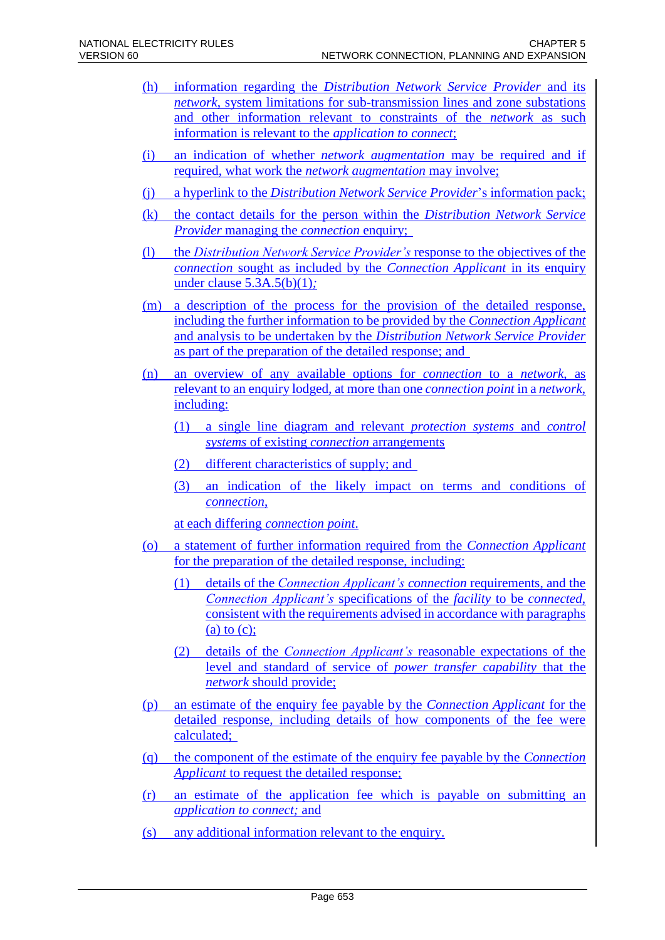- (h) information regarding the *Distribution Network Service Provider* and its *network*, system limitations for sub-transmission lines and zone substations and other information relevant to constraints of the *network* as such information is relevant to the *application to connect*;
- (i) an indication of whether *network augmentation* may be required and if required, what work the *network augmentation* may involve;
- (j) a hyperlink to the *Distribution Network Service Provider*'s information pack;
- (k) the contact details for the person within the *Distribution Network Service Provider* managing the *connection* enquiry;
- (l) the *Distribution Network Service Provider's* response to the objectives of the *connection* sought as included by the *Connection Applicant* in its enquiry under clause 5.3A.5(b)(1)*;*
- (m) a description of the process for the provision of the detailed response, including the further information to be provided by the *Connection Applicant* and analysis to be undertaken by the *Distribution Network Service Provider* as part of the preparation of the detailed response; and
- (n) an overview of any available options for *connection* to a *network*, as relevant to an enquiry lodged*,* at more than one *connection point* in a *network*, including:
	- (1) a single line diagram and relevant *protection systems* and *control systems* of existing *connection* arrangements
	- (2) different characteristics of supply; and
	- (3) an indication of the likely impact on terms and conditions of *connection*,

at each differing *connection point*.

- (o) a statement of further information required from the *Connection Applicant* for the preparation of the detailed response, including:
	- (1) details of the *Connection Applicant's connection* requirements, and the *Connection Applicant's* specifications of the *facility* to be *connected*, consistent with the requirements advised in accordance with paragraphs (a) to  $(c)$ ;
	- (2) details of the *Connection Applicant's* reasonable expectations of the level and standard of service of *power transfer capability* that the *network* should provide;
- (p) an estimate of the enquiry fee payable by the *Connection Applicant* for the detailed response, including details of how components of the fee were calculated;
- (q) the component of the estimate of the enquiry fee payable by the *Connection Applicant* to request the detailed response;
- (r) an estimate of the application fee which is payable on submitting an *application to connect;* and
- (s) any additional information relevant to the enquiry.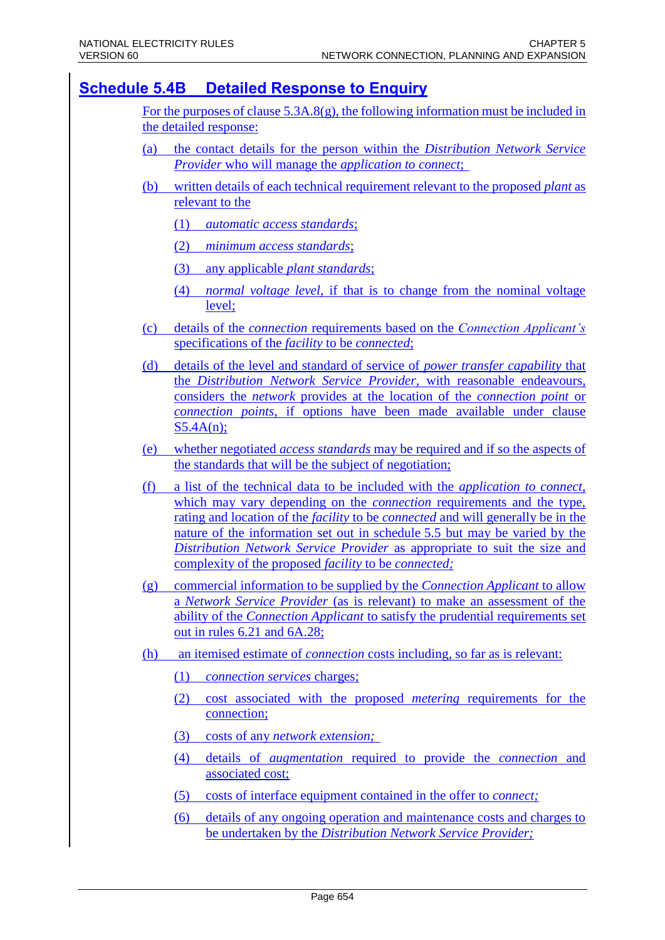### **Schedule 5.4B Detailed Response to Enquiry**

For the purposes of clause  $5.3A.8(g)$ , the following information must be included in the detailed response:

- (a) the contact details for the person within the *Distribution Network Service Provider* who will manage the *application to connect*;
- (b) written details of each technical requirement relevant to the proposed *plant* as relevant to the
	- (1) *automatic access standards*;
	- (2) *minimum access standards*;
	- (3) any applicable *plant standards*;
	- (4) *normal voltage level*, if that is to change from the nominal voltage level;
- (c) details of the *connection* requirements based on the *Connection Applicant's* specifications of the *facility* to be *connected*;
- (d) details of the level and standard of service of *power transfer capability* that the *Distribution Network Service Provider,* with reasonable endeavours, considers the *network* provides at the location of the *connection point* or *connection points*, if options have been made available under clause S5.4A(n);
- (e) whether negotiated *access standards* may be required and if so the aspects of the standards that will be the subject of negotiation;
- (f) a list of the technical data to be included with the *application to connect*, which may vary depending on the *connection* requirements and the type, rating and location of the *facility* to be *connected* and will generally be in the nature of the information set out in schedule 5.5 but may be varied by the *Distribution Network Service Provider* as appropriate to suit the size and complexity of the proposed *facility* to be *connected;*
- (g) commercial information to be supplied by the *Connection Applicant* to allow a *Network Service Provider* (as is relevant) to make an assessment of the ability of the *Connection Applicant* to satisfy the prudential requirements set out in rules 6.21 and 6A.28;
- (h) an itemised estimate of *connection* costs including, so far as is relevant:
	- (1) *connection services* charges;
	- (2) cost associated with the proposed *metering* requirements for the connection;
	- (3) costs of any *network extension;*
	- (4) details of *augmentation* required to provide the *connection* and associated cost;
	- (5) costs of interface equipment contained in the offer to *connect;*
	- (6) details of any ongoing operation and maintenance costs and charges to be undertaken by the *Distribution Network Service Provider;*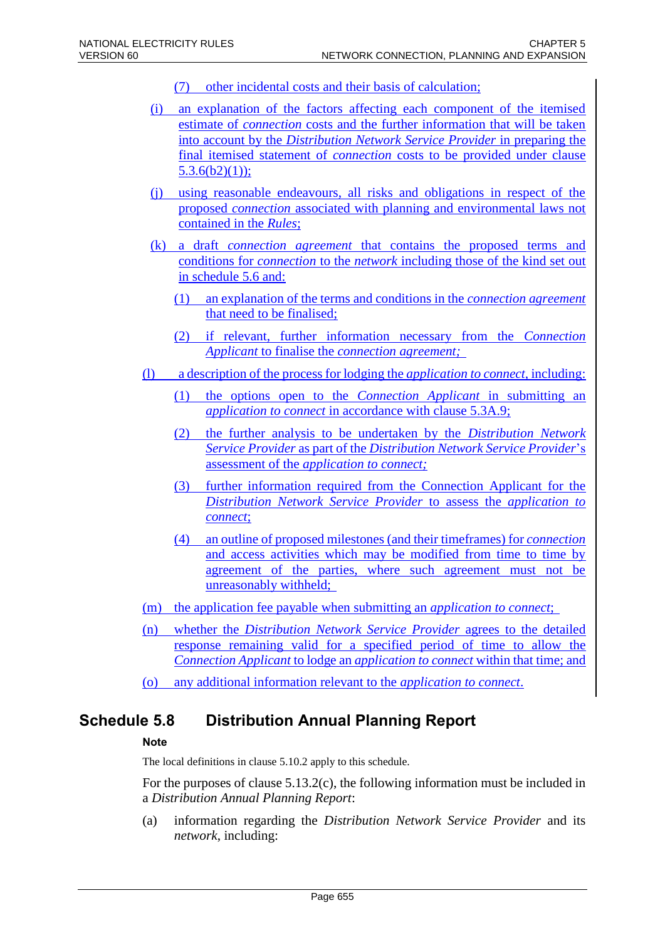- (7) other incidental costs and their basis of calculation;
- (i) an explanation of the factors affecting each component of the itemised estimate of *connection* costs and the further information that will be taken into account by the *Distribution Network Service Provider* in preparing the final itemised statement of *connection* costs to be provided under clause  $5.3.6(b2)(1)$ ;
- (j) using reasonable endeavours, all risks and obligations in respect of the proposed *connection* associated with planning and environmental laws not contained in the *Rules*;
- (k) a draft *connection agreement* that contains the proposed terms and conditions for *connection* to the *network* including those of the kind set out in schedule 5.6 and:
	- (1) an explanation of the terms and conditions in the *connection agreement* that need to be finalised;
	- (2) if relevant, further information necessary from the *Connection Applicant* to finalise the *connection agreement;*
- (l) a description of the process for lodging the *application to connect*, including:
	- (1) the options open to the *Connection Applicant* in submitting an *application to connect* in accordance with clause 5.3A.9;
	- (2) the further analysis to be undertaken by the *Distribution Network Service Provider* as part of the *Distribution Network Service Provider*'s assessment of the *application to connect;*
	- (3) further information required from the Connection Applicant for the *Distribution Network Service Provider* to assess the *application to connect*;
	- (4) an outline of proposed milestones (and their timeframes) for *connection* and access activities which may be modified from time to time by agreement of the parties, where such agreement must not be unreasonably withheld;
- (m) the application fee payable when submitting an *application to connect*;
- (n) whether the *Distribution Network Service Provider* agrees to the detailed response remaining valid for a specified period of time to allow the *Connection Applicant* to lodge an *application to connect* within that time; and
- (o) any additional information relevant to the *application to connect*.

### **Schedule 5.8 Distribution Annual Planning Report**

#### **Note**

The local definitions in clause 5.10.2 apply to this schedule.

For the purposes of clause 5.13.2(c), the following information must be included in a *Distribution Annual Planning Report*:

(a) information regarding the *Distribution Network Service Provider* and its *network*, including: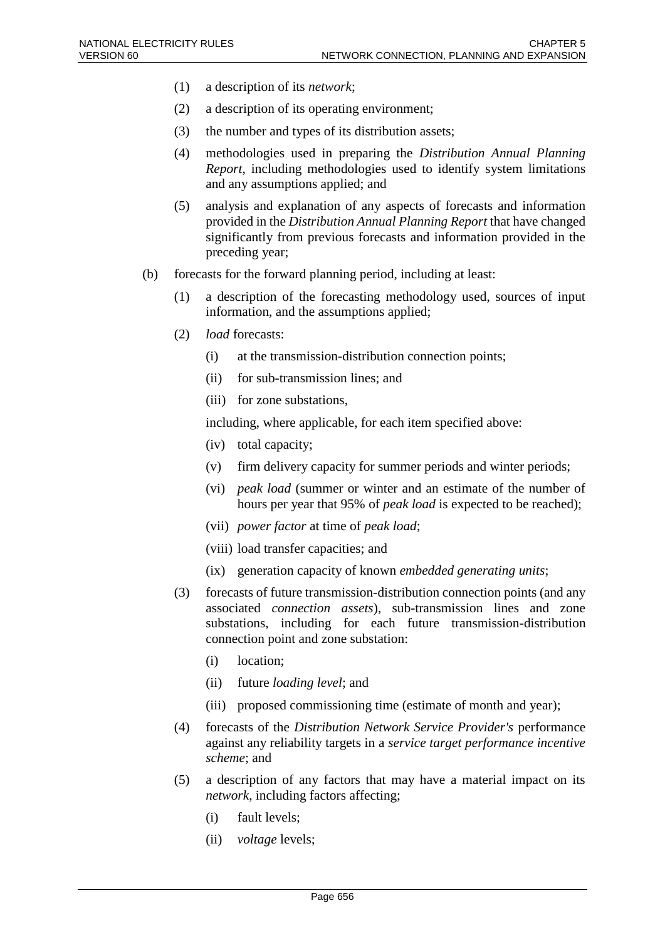- (1) a description of its *network*;
- (2) a description of its operating environment;
- (3) the number and types of its distribution assets;
- (4) methodologies used in preparing the *Distribution Annual Planning Report*, including methodologies used to identify system limitations and any assumptions applied; and
- (5) analysis and explanation of any aspects of forecasts and information provided in the *Distribution Annual Planning Report* that have changed significantly from previous forecasts and information provided in the preceding year;
- (b) forecasts for the forward planning period, including at least:
	- (1) a description of the forecasting methodology used, sources of input information, and the assumptions applied;
	- (2) *load* forecasts:
		- (i) at the transmission-distribution connection points;
		- (ii) for sub-transmission lines; and
		- (iii) for zone substations,

including, where applicable, for each item specified above:

- (iv) total capacity;
- (v) firm delivery capacity for summer periods and winter periods;
- (vi) *peak load* (summer or winter and an estimate of the number of hours per year that 95% of *peak load* is expected to be reached);
- (vii) *power factor* at time of *peak load*;
- (viii) load transfer capacities; and
- (ix) generation capacity of known *embedded generating units*;
- (3) forecasts of future transmission-distribution connection points (and any associated *connection assets*), sub-transmission lines and zone substations, including for each future transmission-distribution connection point and zone substation:
	- (i) location;
	- (ii) future *loading level*; and
	- (iii) proposed commissioning time (estimate of month and year);
- (4) forecasts of the *Distribution Network Service Provider's* performance against any reliability targets in a *service target performance incentive scheme*; and
- (5) a description of any factors that may have a material impact on its *network*, including factors affecting;
	- (i) fault levels;
	- (ii) *voltage* levels;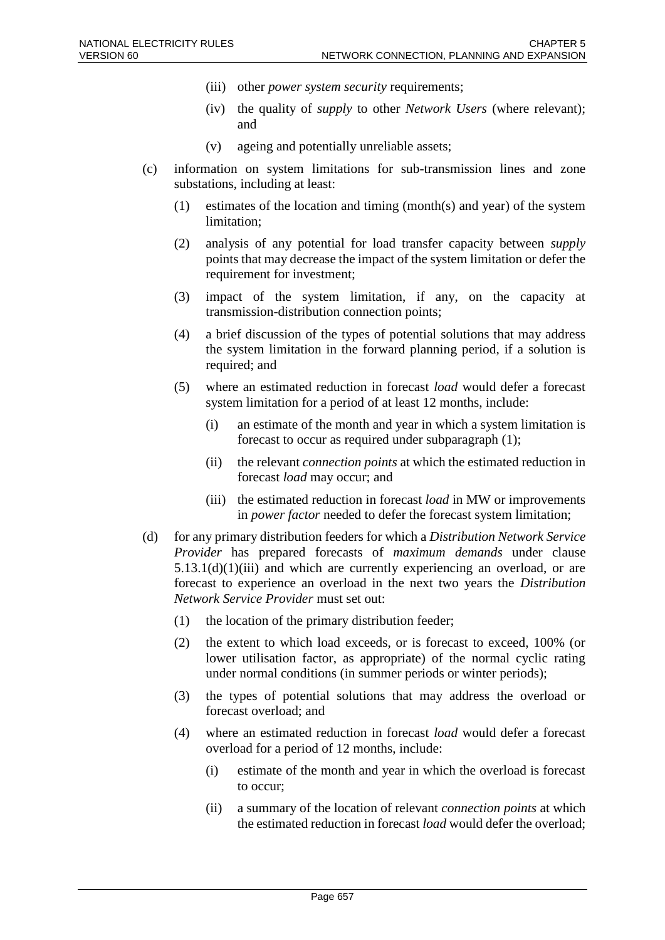- (iii) other *power system security* requirements;
- (iv) the quality of *supply* to other *Network Users* (where relevant); and
- (v) ageing and potentially unreliable assets;
- (c) information on system limitations for sub-transmission lines and zone substations, including at least:
	- (1) estimates of the location and timing (month(s) and year) of the system limitation;
	- (2) analysis of any potential for load transfer capacity between *supply* points that may decrease the impact of the system limitation or defer the requirement for investment;
	- (3) impact of the system limitation, if any, on the capacity at transmission-distribution connection points;
	- (4) a brief discussion of the types of potential solutions that may address the system limitation in the forward planning period, if a solution is required; and
	- (5) where an estimated reduction in forecast *load* would defer a forecast system limitation for a period of at least 12 months, include:
		- (i) an estimate of the month and year in which a system limitation is forecast to occur as required under subparagraph (1);
		- (ii) the relevant *connection points* at which the estimated reduction in forecast *load* may occur; and
		- (iii) the estimated reduction in forecast *load* in MW or improvements in *power factor* needed to defer the forecast system limitation;
- (d) for any primary distribution feeders for which a *Distribution Network Service Provider* has prepared forecasts of *maximum demands* under clause  $5.13.1(d)(1)(iii)$  and which are currently experiencing an overload, or are forecast to experience an overload in the next two years the *Distribution Network Service Provider* must set out:
	- (1) the location of the primary distribution feeder;
	- (2) the extent to which load exceeds, or is forecast to exceed, 100% (or lower utilisation factor, as appropriate) of the normal cyclic rating under normal conditions (in summer periods or winter periods);
	- (3) the types of potential solutions that may address the overload or forecast overload; and
	- (4) where an estimated reduction in forecast *load* would defer a forecast overload for a period of 12 months, include:
		- (i) estimate of the month and year in which the overload is forecast to occur;
		- (ii) a summary of the location of relevant *connection points* at which the estimated reduction in forecast *load* would defer the overload;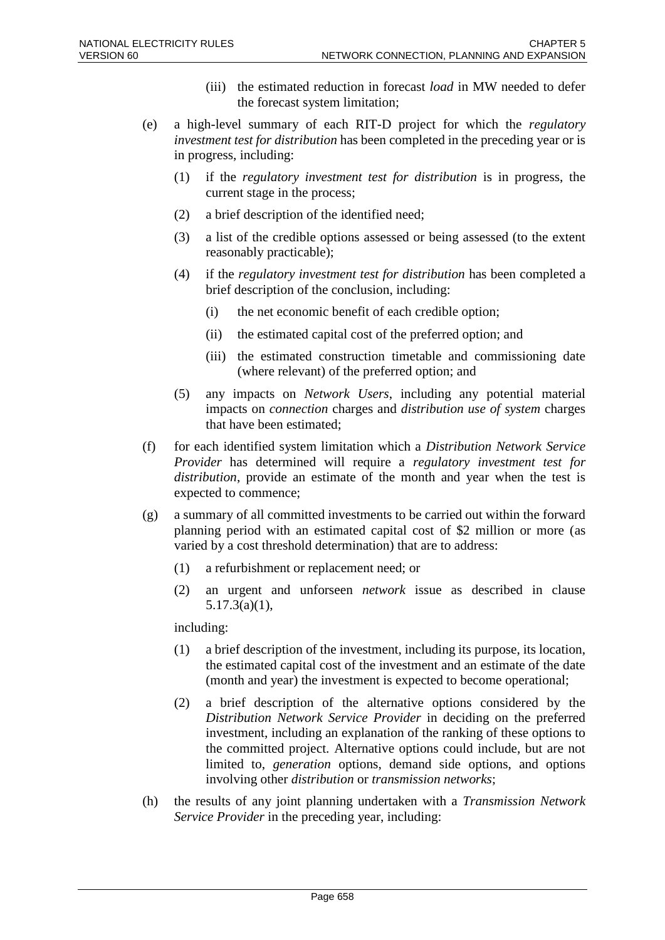- (iii) the estimated reduction in forecast *load* in MW needed to defer the forecast system limitation;
- (e) a high-level summary of each RIT-D project for which the *regulatory investment test for distribution* has been completed in the preceding year or is in progress, including:
	- (1) if the *regulatory investment test for distribution* is in progress, the current stage in the process;
	- (2) a brief description of the identified need;
	- (3) a list of the credible options assessed or being assessed (to the extent reasonably practicable);
	- (4) if the *regulatory investment test for distribution* has been completed a brief description of the conclusion, including:
		- (i) the net economic benefit of each credible option;
		- (ii) the estimated capital cost of the preferred option; and
		- (iii) the estimated construction timetable and commissioning date (where relevant) of the preferred option; and
	- (5) any impacts on *Network Users*, including any potential material impacts on *connection* charges and *distribution use of system* charges that have been estimated;
- (f) for each identified system limitation which a *Distribution Network Service Provider* has determined will require a *regulatory investment test for distribution*, provide an estimate of the month and year when the test is expected to commence;
- (g) a summary of all committed investments to be carried out within the forward planning period with an estimated capital cost of \$2 million or more (as varied by a cost threshold determination) that are to address:
	- (1) a refurbishment or replacement need; or
	- (2) an urgent and unforseen *network* issue as described in clause 5.17.3(a)(1),

including:

- (1) a brief description of the investment, including its purpose, its location, the estimated capital cost of the investment and an estimate of the date (month and year) the investment is expected to become operational;
- (2) a brief description of the alternative options considered by the *Distribution Network Service Provider* in deciding on the preferred investment, including an explanation of the ranking of these options to the committed project. Alternative options could include, but are not limited to, *generation* options, demand side options, and options involving other *distribution* or *transmission networks*;
- (h) the results of any joint planning undertaken with a *Transmission Network Service Provider* in the preceding year, including: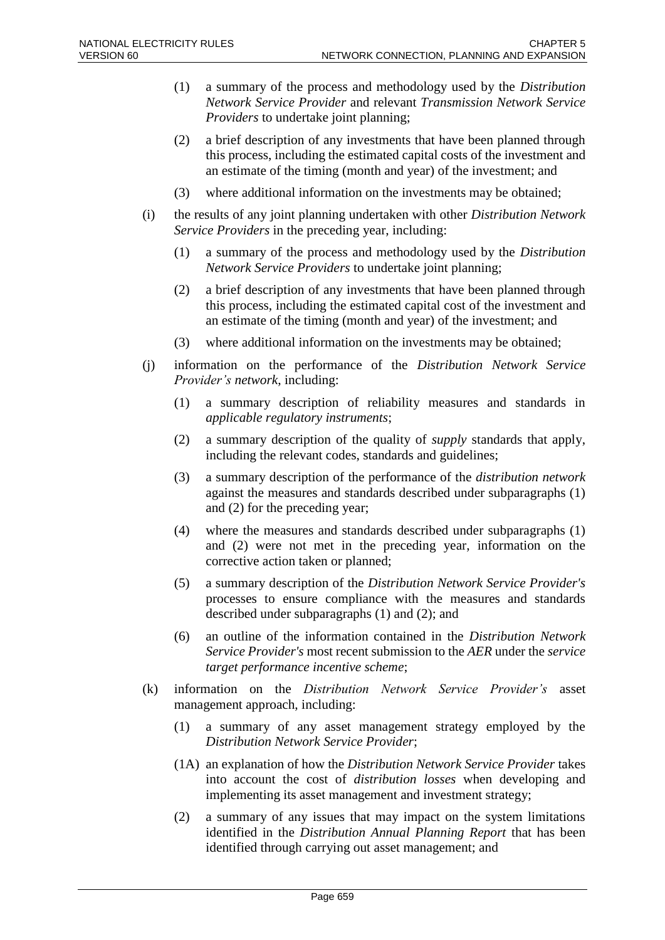- (1) a summary of the process and methodology used by the *Distribution Network Service Provider* and relevant *Transmission Network Service Providers* to undertake joint planning;
- (2) a brief description of any investments that have been planned through this process, including the estimated capital costs of the investment and an estimate of the timing (month and year) of the investment; and
- (3) where additional information on the investments may be obtained;
- (i) the results of any joint planning undertaken with other *Distribution Network Service Providers* in the preceding year, including:
	- (1) a summary of the process and methodology used by the *Distribution Network Service Providers* to undertake joint planning;
	- (2) a brief description of any investments that have been planned through this process, including the estimated capital cost of the investment and an estimate of the timing (month and year) of the investment; and
	- (3) where additional information on the investments may be obtained;
- (j) information on the performance of the *Distribution Network Service Provider's network*, including:
	- (1) a summary description of reliability measures and standards in *applicable regulatory instruments*;
	- (2) a summary description of the quality of *supply* standards that apply, including the relevant codes, standards and guidelines;
	- (3) a summary description of the performance of the *distribution network* against the measures and standards described under subparagraphs (1) and (2) for the preceding year;
	- (4) where the measures and standards described under subparagraphs (1) and (2) were not met in the preceding year, information on the corrective action taken or planned;
	- (5) a summary description of the *Distribution Network Service Provider's* processes to ensure compliance with the measures and standards described under subparagraphs (1) and (2); and
	- (6) an outline of the information contained in the *Distribution Network Service Provider's* most recent submission to the *AER* under the *service target performance incentive scheme*;
- (k) information on the *Distribution Network Service Provider's* asset management approach, including:
	- (1) a summary of any asset management strategy employed by the *Distribution Network Service Provider*;
	- (1A) an explanation of how the *Distribution Network Service Provider* takes into account the cost of *distribution losses* when developing and implementing its asset management and investment strategy;
	- (2) a summary of any issues that may impact on the system limitations identified in the *Distribution Annual Planning Report* that has been identified through carrying out asset management; and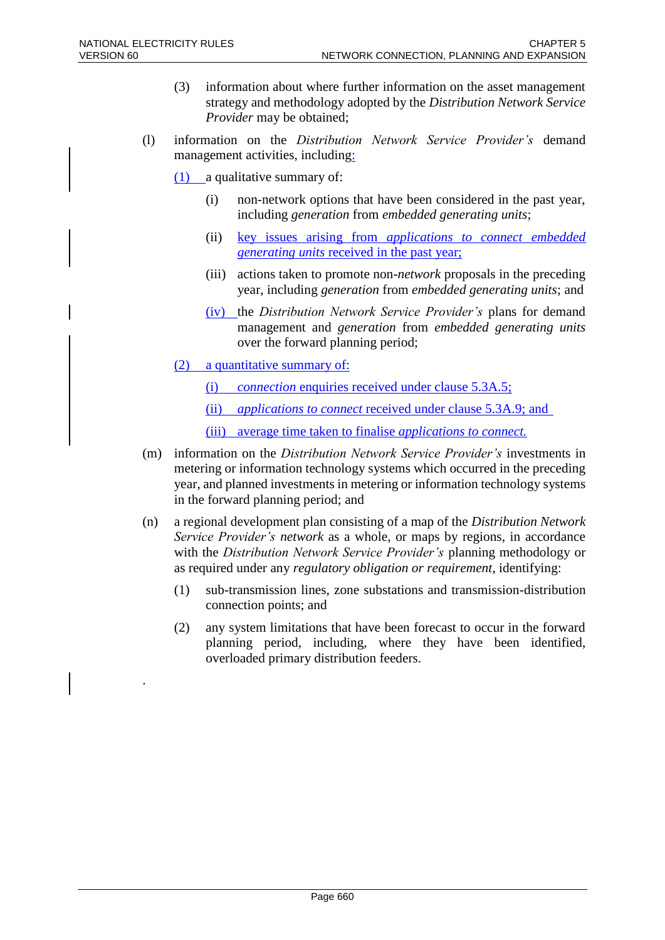.

- (3) information about where further information on the asset management strategy and methodology adopted by the *Distribution Network Service Provider* may be obtained;
- (l) information on the *Distribution Network Service Provider's* demand management activities, including:
	- (1) a qualitative summary of:
		- (i) non-network options that have been considered in the past year, including *generation* from *embedded generating units*;
		- (ii) key issues arising from *applications to connect embedded generating units* received in the past year;
		- (iii) actions taken to promote non-*network* proposals in the preceding year, including *generation* from *embedded generating units*; and
		- (iv) the *Distribution Network Service Provider's* plans for demand management and *generation* from *embedded generating units* over the forward planning period;
	- (2) a quantitative summary of:
		- (i) *connection* enquiries received under clause 5.3A.5;
		- (ii) *applications to connect* received under clause 5.3A.9; and
		- (iii) average time taken to finalise *applications to connect.*
- (m) information on the *Distribution Network Service Provider's* investments in metering or information technology systems which occurred in the preceding year, and planned investments in metering or information technology systems in the forward planning period; and
- (n) a regional development plan consisting of a map of the *Distribution Network Service Provider's network* as a whole, or maps by regions, in accordance with the *Distribution Network Service Provider's* planning methodology or as required under any *regulatory obligation or requirement*, identifying:
	- (1) sub-transmission lines, zone substations and transmission-distribution connection points; and
	- (2) any system limitations that have been forecast to occur in the forward planning period, including, where they have been identified, overloaded primary distribution feeders.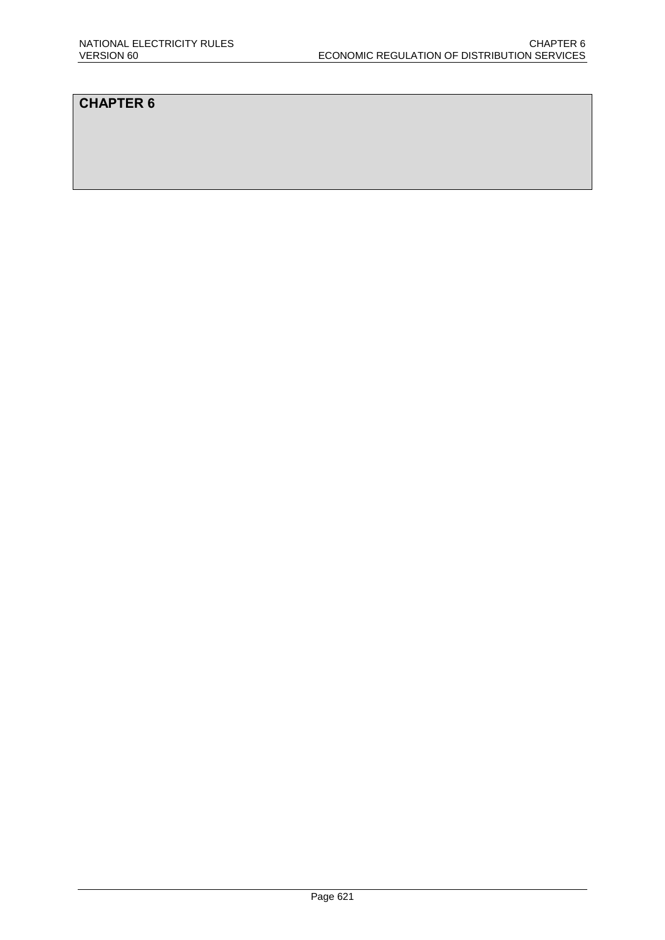### **CHAPTER 6**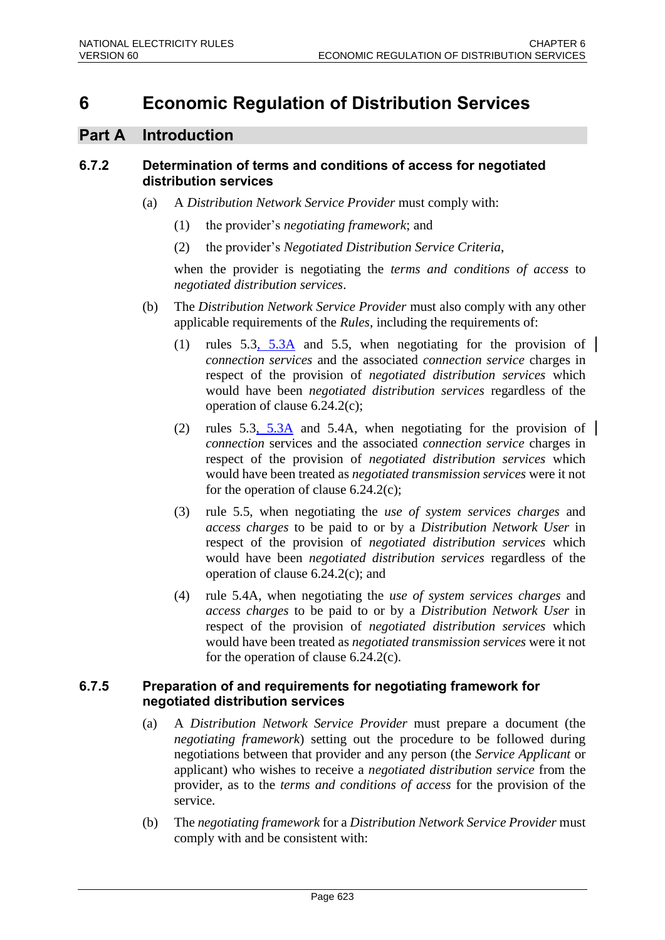# **6 Economic Regulation of Distribution Services**

### **Part A Introduction**

### **6.7.2 Determination of terms and conditions of access for negotiated distribution services**

- (a) A *Distribution Network Service Provider* must comply with:
	- (1) the provider's *negotiating framework*; and
	- (2) the provider's *Negotiated Distribution Service Criteria*,

when the provider is negotiating the *terms and conditions of access* to *negotiated distribution services*.

- (b) The *Distribution Network Service Provider* must also comply with any other applicable requirements of the *Rules*, including the requirements of:
	- (1) rules  $5.3, 5.3\text{\AA}$  and 5.5, when negotiating for the provision of *connection services* and the associated *connection service* charges in respect of the provision of *negotiated distribution services* which would have been *negotiated distribution services* regardless of the operation of clause 6.24.2(c);
	- (2) rules 5.3, 5.3A and 5.4A, when negotiating for the provision of *connection* services and the associated *connection service* charges in respect of the provision of *negotiated distribution services* which would have been treated as *negotiated transmission services* were it not for the operation of clause  $6.24.2(c)$ ;
	- (3) rule 5.5, when negotiating the *use of system services charges* and *access charges* to be paid to or by a *Distribution Network User* in respect of the provision of *negotiated distribution services* which would have been *negotiated distribution services* regardless of the operation of clause 6.24.2(c); and
	- (4) rule 5.4A, when negotiating the *use of system services charges* and *access charges* to be paid to or by a *Distribution Network User* in respect of the provision of *negotiated distribution services* which would have been treated as *negotiated transmission services* were it not for the operation of clause 6.24.2(c).

#### **6.7.5 Preparation of and requirements for negotiating framework for negotiated distribution services**

- (a) A *Distribution Network Service Provider* must prepare a document (the *negotiating framework*) setting out the procedure to be followed during negotiations between that provider and any person (the *Service Applicant* or applicant) who wishes to receive a *negotiated distribution service* from the provider, as to the *terms and conditions of access* for the provision of the service.
- (b) The *negotiating framework* for a *Distribution Network Service Provider* must comply with and be consistent with: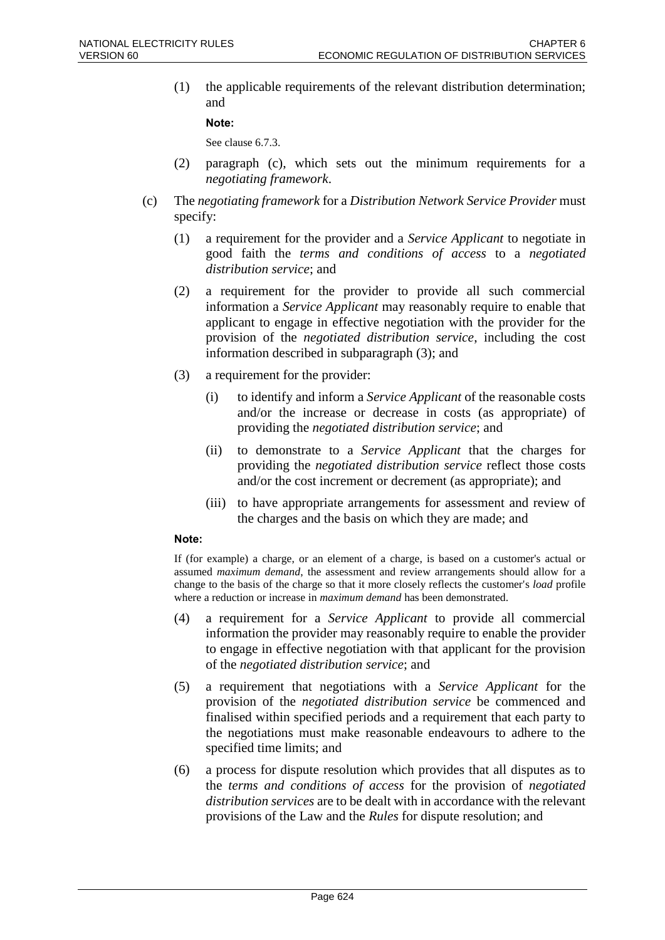(1) the applicable requirements of the relevant distribution determination; and

#### **Note:**

See clause 6.7.3.

- (2) paragraph (c), which sets out the minimum requirements for a *negotiating framework*.
- (c) The *negotiating framework* for a *Distribution Network Service Provider* must specify:
	- (1) a requirement for the provider and a *Service Applicant* to negotiate in good faith the *terms and conditions of access* to a *negotiated distribution service*; and
	- (2) a requirement for the provider to provide all such commercial information a *Service Applicant* may reasonably require to enable that applicant to engage in effective negotiation with the provider for the provision of the *negotiated distribution service*, including the cost information described in subparagraph (3); and
	- (3) a requirement for the provider:
		- (i) to identify and inform a *Service Applicant* of the reasonable costs and/or the increase or decrease in costs (as appropriate) of providing the *negotiated distribution service*; and
		- (ii) to demonstrate to a *Service Applicant* that the charges for providing the *negotiated distribution service* reflect those costs and/or the cost increment or decrement (as appropriate); and
		- (iii) to have appropriate arrangements for assessment and review of the charges and the basis on which they are made; and

#### **Note:**

If (for example) a charge, or an element of a charge, is based on a customer's actual or assumed *maximum demand*, the assessment and review arrangements should allow for a change to the basis of the charge so that it more closely reflects the customer's *load* profile where a reduction or increase in *maximum demand* has been demonstrated.

- (4) a requirement for a *Service Applicant* to provide all commercial information the provider may reasonably require to enable the provider to engage in effective negotiation with that applicant for the provision of the *negotiated distribution service*; and
- (5) a requirement that negotiations with a *Service Applicant* for the provision of the *negotiated distribution service* be commenced and finalised within specified periods and a requirement that each party to the negotiations must make reasonable endeavours to adhere to the specified time limits; and
- (6) a process for dispute resolution which provides that all disputes as to the *terms and conditions of access* for the provision of *negotiated distribution services* are to be dealt with in accordance with the relevant provisions of the Law and the *Rules* for dispute resolution; and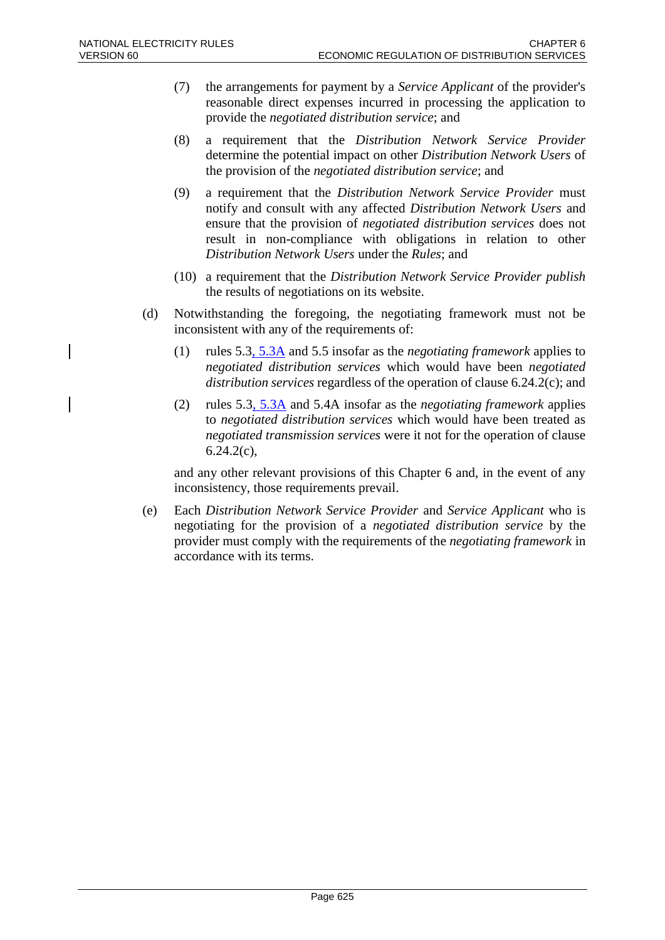- (7) the arrangements for payment by a *Service Applicant* of the provider's reasonable direct expenses incurred in processing the application to provide the *negotiated distribution service*; and
- (8) a requirement that the *Distribution Network Service Provider* determine the potential impact on other *Distribution Network Users* of the provision of the *negotiated distribution service*; and
- (9) a requirement that the *Distribution Network Service Provider* must notify and consult with any affected *Distribution Network Users* and ensure that the provision of *negotiated distribution services* does not result in non-compliance with obligations in relation to other *Distribution Network Users* under the *Rules*; and
- (10) a requirement that the *Distribution Network Service Provider publish* the results of negotiations on its website.
- (d) Notwithstanding the foregoing, the negotiating framework must not be inconsistent with any of the requirements of:
	- (1) rules 5.3, 5.3A and 5.5 insofar as the *negotiating framework* applies to *negotiated distribution services* which would have been *negotiated distribution services* regardless of the operation of clause 6.24.2(c); and
	- (2) rules 5.3, 5.3A and 5.4A insofar as the *negotiating framework* applies to *negotiated distribution services* which would have been treated as *negotiated transmission services* were it not for the operation of clause  $6.24.2(c)$ ,

and any other relevant provisions of this Chapter 6 and, in the event of any inconsistency, those requirements prevail.

(e) Each *Distribution Network Service Provider* and *Service Applicant* who is negotiating for the provision of a *negotiated distribution service* by the provider must comply with the requirements of the *negotiating framework* in accordance with its terms.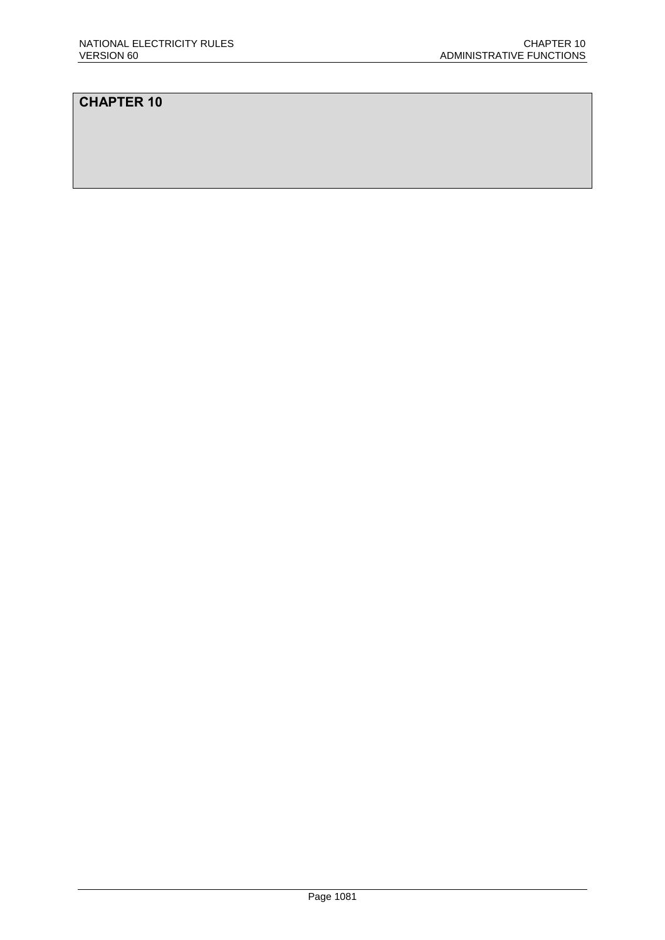### **CHAPTER 10**